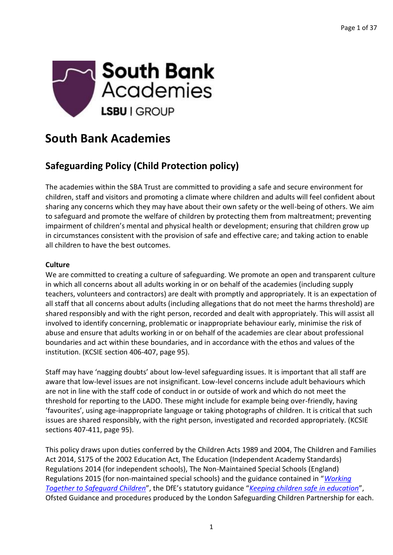

### **South Bank Academies**

### **Safeguarding Policy (Child Protection policy)**

The academies within the SBA Trust are committed to providing a safe and secure environment for children, staff and visitors and promoting a climate where children and adults will feel confident about sharing any concerns which they may have about their own safety or the well-being of others. We aim to safeguard and promote the welfare of children by protecting them from maltreatment; preventing impairment of children's mental and physical health or development; ensuring that children grow up in circumstances consistent with the provision of safe and effective care; and taking action to enable all children to have the best outcomes.

#### **Culture**

We are committed to creating a culture of safeguarding. We promote an open and transparent culture in which all concerns about all adults working in or on behalf of the academies (including supply teachers, volunteers and contractors) are dealt with promptly and appropriately. It is an expectation of all staff that all concerns about adults (including allegations that do not meet the harms threshold) are shared responsibly and with the right person, recorded and dealt with appropriately. This will assist all involved to identify concerning, problematic or inappropriate behaviour early, minimise the risk of abuse and ensure that adults working in or on behalf of the academies are clear about professional boundaries and act within these boundaries, and in accordance with the ethos and values of the institution. (KCSIE section 406-407, page 95).

Staff may have 'nagging doubts' about low-level safeguarding issues. It is important that all staff are aware that low-level issues are not insignificant. Low-level concerns include adult behaviours which are not in line with the staff code of conduct in or outside of work and which do not meet the threshold for reporting to the LADO. These might include for example being over-friendly, having 'favourites', using age-inappropriate language or taking photographs of children. It is critical that such issues are shared responsibly, with the right person, investigated and recorded appropriately. (KCSIE sections 407-411, page 95).

This policy draws upon duties conferred by the Children Acts 1989 and 2004, The Children and Families Act 2014, S175 of the 2002 Education Act, The Education (Independent Academy Standards) Regulations 2014 (for independent schools), The Non-Maintained Special Schools (England) Regulations 2015 (for non-maintained special schools) and the guidance contained in "*[Working](https://www.gov.uk/government/publications/working-together-to-safeguard-children--2)  [Together to Safeguard Children](https://www.gov.uk/government/publications/working-together-to-safeguard-children--2)*", the DfE's statutory guidance "*[Keeping children safe in education](https://www.gov.uk/government/publications/keeping-children-safe-in-education--2)*", Ofsted Guidance and procedures produced by the London Safeguarding Children Partnership for each.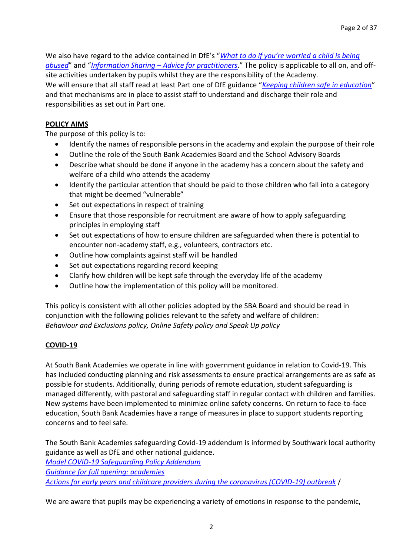We also have regard to the advice contained in DfE's "*[What to do if you're worried a child is being](https://www.gov.uk/government/publications/what-to-do-if-youre-worried-a-child-is-being-abused--2)  [abused](https://www.gov.uk/government/publications/what-to-do-if-youre-worried-a-child-is-being-abused--2)*" and "*Information Sharing – [Advice for practitioners](https://www.gov.uk/government/publications/safeguarding-practitioners-information-sharing-advice)*." The policy is applicable to all on, and offsite activities undertaken by pupils whilst they are the responsibility of the Academy. We will ensure that all staff read at least Part one of DfE guidance "*[Keeping children safe in education](https://www.gov.uk/government/publications/keeping-children-safe-in-education--2)*" and that mechanisms are in place to assist staff to understand and discharge their role and responsibilities as set out in Part one.

#### **POLICY AIMS**

The purpose of this policy is to:

- Identify the names of responsible persons in the academy and explain the purpose of their role
- Outline the role of the South Bank Academies Board and the School Advisory Boards
- Describe what should be done if anyone in the academy has a concern about the safety and welfare of a child who attends the academy
- Identify the particular attention that should be paid to those children who fall into a category that might be deemed "vulnerable"
- Set out expectations in respect of training
- Ensure that those responsible for recruitment are aware of how to apply safeguarding principles in employing staff
- Set out expectations of how to ensure children are safeguarded when there is potential to encounter non-academy staff, e.g., volunteers, contractors etc.
- Outline how complaints against staff will be handled
- Set out expectations regarding record keeping
- Clarify how children will be kept safe through the everyday life of the academy
- Outline how the implementation of this policy will be monitored.

This policy is consistent with all other policies adopted by the SBA Board and should be read in conjunction with the following policies relevant to the safety and welfare of children: *Behaviour and Exclusions policy, Online Safety policy and Speak Up policy*

#### **COVID-19**

At South Bank Academies we operate in line with government guidance in relation to Covid-19. This has included conducting planning and risk assessments to ensure practical arrangements are as safe as possible for students. Additionally, during periods of remote education, student safeguarding is managed differently, with pastoral and safeguarding staff in regular contact with children and families. New systems have been implemented to minimize online safety concerns. On return to face-to-face education, South Bank Academies have a range of measures in place to support students reporting concerns and to feel safe.

The South Bank Academies safeguarding Covid-19 addendum is informed by Southwark local authority guidance as well as DfE and other national guidance.

*[Model COVID-19 Safeguarding Policy Addendum](https://schools.southwark.gov.uk/assets/attach/5848/Model-COVID-19-Safeguarding-Policy-Addendum.docx) [Guidance for full opening: academies](https://www.gov.uk/government/publications/actions-for-schools-during-the-coronavirus-outbreak/guidance-for-full-opening-schools) [Actions for early years and childcare providers during the coronavirus \(COVID-19\) outbreak](https://www.gov.uk/government/publications/coronavirus-covid-19-early-years-and-childcare-closures/coronavirus-covid-19-early-years-and-childcare-closures#safeguarding-and-welfare)* /

We are aware that pupils may be experiencing a variety of emotions in response to the pandemic,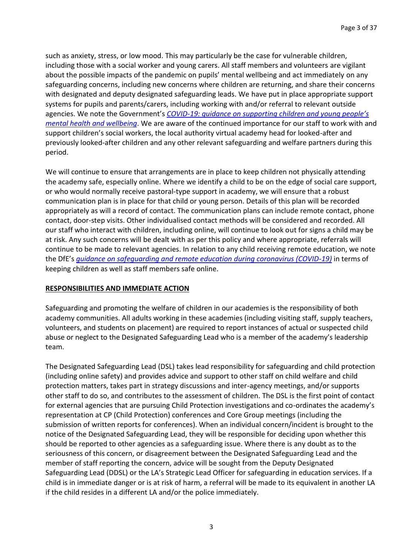such as anxiety, stress, or low mood. This may particularly be the case for vulnerable children, including those with a social worker and young carers. All staff members and volunteers are vigilant about the possible impacts of the pandemic on pupils' mental wellbeing and act immediately on any safeguarding concerns, including new concerns where children are returning, and share their concerns with designated and deputy designated safeguarding leads. We have put in place appropriate support systems for pupils and parents/carers, including working with and/or referral to relevant outside agencies. We note the Government's *COVID-19: guidance on supp[orting children and young people's](https://www.gov.uk/government/publications/covid-19-guidance-on-supporting-children-and-young-peoples-mental-health-and-wellbeing)  [mental health and wellbeing](https://www.gov.uk/government/publications/covid-19-guidance-on-supporting-children-and-young-peoples-mental-health-and-wellbeing)*. We are aware of the continued importance for our staff to work with and support children's social workers, the local authority virtual academy head for looked-after and previously looked-after children and any other relevant safeguarding and welfare partners during this period.

We will continue to ensure that arrangements are in place to keep children not physically attending the academy safe, especially online. Where we identify a child to be on the edge of social care support, or who would normally receive pastoral-type support in academy, we will ensure that a robust communication plan is in place for that child or young person. Details of this plan will be recorded appropriately as will a record of contact. The communication plans can include remote contact, phone contact, door-step visits. Other individualised contact methods will be considered and recorded. All our staff who interact with children, including online, will continue to look out for signs a child may be at risk. Any such concerns will be dealt with as per this policy and where appropriate, referrals will continue to be made to relevant agencies. In relation to any child receiving remote education, we note the DfE's *[guidance on safeguarding and remote education](https://www.gov.uk/guidance/safeguarding-and-remote-education-during-coronavirus-covid-19) during coronavirus (COVID-19)* in terms of keeping children as well as staff members safe online.

#### **RESPONSIBILITIES AND IMMEDIATE ACTION**

Safeguarding and promoting the welfare of children in our academies is the responsibility of both academy communities. All adults working in these academies (including visiting staff, supply teachers, volunteers, and students on placement) are required to report instances of actual or suspected child abuse or neglect to the Designated Safeguarding Lead who is a member of the academy's leadership team.

The Designated Safeguarding Lead (DSL) takes lead responsibility for safeguarding and child protection (including online safety) and provides advice and support to other staff on child welfare and child protection matters, takes part in strategy discussions and inter-agency meetings, and/or supports other staff to do so, and contributes to the assessment of children. The DSL is the first point of contact for external agencies that are pursuing Child Protection investigations and co-ordinates the academy's representation at CP (Child Protection) conferences and Core Group meetings (including the submission of written reports for conferences). When an individual concern/incident is brought to the notice of the Designated Safeguarding Lead, they will be responsible for deciding upon whether this should be reported to other agencies as a safeguarding issue. Where there is any doubt as to the seriousness of this concern, or disagreement between the Designated Safeguarding Lead and the member of staff reporting the concern, advice will be sought from the Deputy Designated Safeguarding Lead (DDSL) or the LA's Strategic Lead Officer for safeguarding in education services. If a child is in immediate danger or is at risk of harm, a referral will be made to its equivalent in another LA if the child resides in a different LA and/or the police immediately.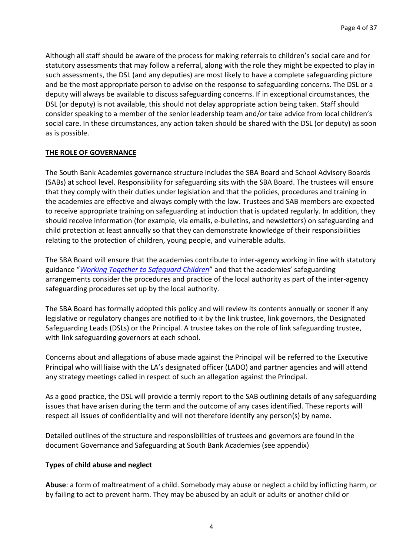Although all staff should be aware of the process for making referrals to children's social care and for statutory assessments that may follow a referral, along with the role they might be expected to play in such assessments, the DSL (and any deputies) are most likely to have a complete safeguarding picture and be the most appropriate person to advise on the response to safeguarding concerns. The DSL or a deputy will always be available to discuss safeguarding concerns. If in exceptional circumstances, the DSL (or deputy) is not available, this should not delay appropriate action being taken. Staff should consider speaking to a member of the senior leadership team and/or take advice from local children's social care. In these circumstances, any action taken should be shared with the DSL (or deputy) as soon as is possible.

#### **THE ROLE OF GOVERNANCE**

The South Bank Academies governance structure includes the SBA Board and School Advisory Boards (SABs) at school level. Responsibility for safeguarding sits with the SBA Board. The trustees will ensure that they comply with their duties under legislation and that the policies, procedures and training in the academies are effective and always comply with the law. Trustees and SAB members are expected to receive appropriate training on safeguarding at induction that is updated regularly. In addition, they should receive information (for example, via emails, e-bulletins, and newsletters) on safeguarding and child protection at least annually so that they can demonstrate knowledge of their responsibilities relating to the protection of children, young people, and vulnerable adults.

The SBA Board will ensure that the academies contribute to inter-agency working in line with statutory guidance "*[Working Together to Safeguard Children](https://www.gov.uk/government/publications/working-together-to-safeguard-children--2)*" and that the academies' safeguarding arrangements consider the procedures and practice of the local authority as part of the inter-agency safeguarding procedures set up by the local authority.

The SBA Board has formally adopted this policy and will review its contents annually or sooner if any legislative or regulatory changes are notified to it by the link trustee, link governors, the Designated Safeguarding Leads (DSLs) or the Principal. A trustee takes on the role of link safeguarding trustee, with link safeguarding governors at each school.

Concerns about and allegations of abuse made against the Principal will be referred to the Executive Principal who will liaise with the LA's designated officer (LADO) and partner agencies and will attend any strategy meetings called in respect of such an allegation against the Principal.

As a good practice, the DSL will provide a termly report to the SAB outlining details of any safeguarding issues that have arisen during the term and the outcome of any cases identified. These reports will respect all issues of confidentiality and will not therefore identify any person(s) by name.

Detailed outlines of the structure and responsibilities of trustees and governors are found in the document Governance and Safeguarding at South Bank Academies (see appendix)

#### **Types of child abuse and neglect**

**Abuse**: a form of maltreatment of a child. Somebody may abuse or neglect a child by inflicting harm, or by failing to act to prevent harm. They may be abused by an adult or adults or another child or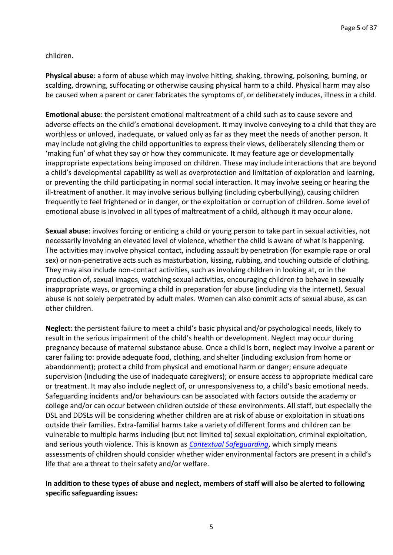children.

**Physical abuse**: a form of abuse which may involve hitting, shaking, throwing, poisoning, burning, or scalding, drowning, suffocating or otherwise causing physical harm to a child. Physical harm may also be caused when a parent or carer fabricates the symptoms of, or deliberately induces, illness in a child.

**Emotional abuse**: the persistent emotional maltreatment of a child such as to cause severe and adverse effects on the child's emotional development. It may involve conveying to a child that they are worthless or unloved, inadequate, or valued only as far as they meet the needs of another person. It may include not giving the child opportunities to express their views, deliberately silencing them or 'making fun' of what they say or how they communicate. It may feature age or developmentally inappropriate expectations being imposed on children. These may include interactions that are beyond a child's developmental capability as well as overprotection and limitation of exploration and learning, or preventing the child participating in normal social interaction. It may involve seeing or hearing the ill-treatment of another. It may involve serious bullying (including cyberbullying), causing children frequently to feel frightened or in danger, or the exploitation or corruption of children. Some level of emotional abuse is involved in all types of maltreatment of a child, although it may occur alone.

**Sexual abuse**: involves forcing or enticing a child or young person to take part in sexual activities, not necessarily involving an elevated level of violence, whether the child is aware of what is happening. The activities may involve physical contact, including assault by penetration (for example rape or oral sex) or non-penetrative acts such as masturbation, kissing, rubbing, and touching outside of clothing. They may also include non-contact activities, such as involving children in looking at, or in the production of, sexual images, watching sexual activities, encouraging children to behave in sexually inappropriate ways, or grooming a child in preparation for abuse (including via the internet). Sexual abuse is not solely perpetrated by adult males. Women can also commit acts of sexual abuse, as can other children.

**Neglect**: the persistent failure to meet a child's basic physical and/or psychological needs, likely to result in the serious impairment of the child's health or development. Neglect may occur during pregnancy because of maternal substance abuse. Once a child is born, neglect may involve a parent or carer failing to: provide adequate food, clothing, and shelter (including exclusion from home or abandonment); protect a child from physical and emotional harm or danger; ensure adequate supervision (including the use of inadequate caregivers); or ensure access to appropriate medical care or treatment. It may also include neglect of, or unresponsiveness to, a child's basic emotional needs. Safeguarding incidents and/or behaviours can be associated with factors outside the academy or college and/or can occur between children outside of these environments. All staff, but especially the DSL and DDSLs will be considering whether children are at risk of abuse or exploitation in situations outside their families. Extra-familial harms take a variety of different forms and children can be vulnerable to multiple harms including (but not limited to) sexual exploitation, criminal exploitation, and serious youth violence. This is known as *[Contextual Safeguarding](https://contextualsafeguarding.org.uk/)*, which simply means assessments of children should consider whether wider environmental factors are present in a child's life that are a threat to their safety and/or welfare.

**In addition to these types of abuse and neglect, members of staff will also be alerted to following specific safeguarding issues:**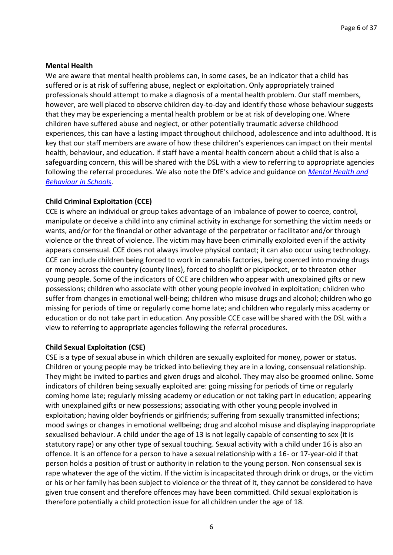#### **Mental Health**

We are aware that mental health problems can, in some cases, be an indicator that a child has suffered or is at risk of suffering abuse, neglect or exploitation. Only appropriately trained professionals should attempt to make a diagnosis of a mental health problem. Our staff members, however, are well placed to observe children day-to-day and identify those whose behaviour suggests that they may be experiencing a mental health problem or be at risk of developing one. Where children have suffered abuse and neglect, or other potentially traumatic adverse childhood experiences, this can have a lasting impact throughout childhood, adolescence and into adulthood. It is key that our staff members are aware of how these children's experiences can impact on their mental health, behaviour, and education. If staff have a mental health concern about a child that is also a safeguarding concern, this will be shared with the DSL with a view to referring to appropriate agencies following the referral procedures. We also note the DfE's advice and guidance on *[Mental Health and](https://www.gov.uk/government/publications/mental-health-and-behaviour-in-schools--2)  [Behaviour in Schools](https://www.gov.uk/government/publications/mental-health-and-behaviour-in-schools--2)*.

#### **Child Criminal Exploitation (CCE)**

CCE is where an individual or group takes advantage of an imbalance of power to coerce, control, manipulate or deceive a child into any criminal activity in exchange for something the victim needs or wants, and/or for the financial or other advantage of the perpetrator or facilitator and/or through violence or the threat of violence. The victim may have been criminally exploited even if the activity appears consensual. CCE does not always involve physical contact; it can also occur using technology. CCE can include children being forced to work in cannabis factories, being coerced into moving drugs or money across the country (county lines), forced to shoplift or pickpocket, or to threaten other young people. Some of the indicators of CCE are children who appear with unexplained gifts or new possessions; children who associate with other young people involved in exploitation; children who suffer from changes in emotional well-being; children who misuse drugs and alcohol; children who go missing for periods of time or regularly come home late; and children who regularly miss academy or education or do not take part in education. Any possible CCE case will be shared with the DSL with a view to referring to appropriate agencies following the referral procedures.

#### **Child Sexual Exploitation (CSE)**

CSE is a type of sexual abuse in which children are sexually exploited for money, power or status. Children or young people may be tricked into believing they are in a loving, consensual relationship. They might be invited to parties and given drugs and alcohol. They may also be groomed online. Some indicators of children being sexually exploited are: going missing for periods of time or regularly coming home late; regularly missing academy or education or not taking part in education; appearing with unexplained gifts or new possessions; associating with other young people involved in exploitation; having older boyfriends or girlfriends; suffering from sexually transmitted infections; mood swings or changes in emotional wellbeing; drug and alcohol misuse and displaying inappropriate sexualised behaviour. A child under the age of 13 is not legally capable of consenting to sex (it is statutory rape) or any other type of sexual touching. Sexual activity with a child under 16 is also an offence. It is an offence for a person to have a sexual relationship with a 16- or 17-year-old if that person holds a position of trust or authority in relation to the young person. Non consensual sex is rape whatever the age of the victim. If the victim is incapacitated through drink or drugs, or the victim or his or her family has been subject to violence or the threat of it, they cannot be considered to have given true consent and therefore offences may have been committed. Child sexual exploitation is therefore potentially a child protection issue for all children under the age of 18.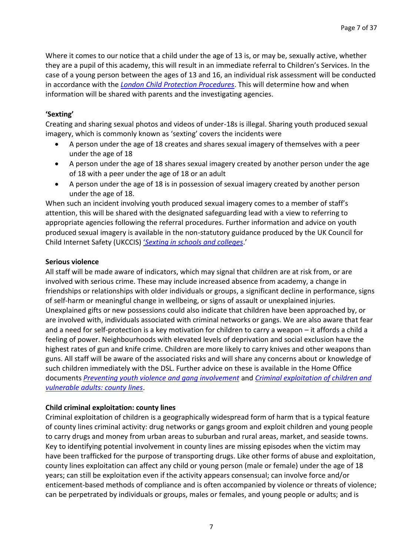Where it comes to our notice that a child under the age of 13 is, or may be, sexually active, whether they are a pupil of this academy, this will result in an immediate referral to Children's Services. In the case of a young person between the ages of 13 and 16, an individual risk assessment will be conducted in accordance with the *[London Child Protection Procedures](http://www.londoncp.co.uk/index.html)*. This will determine how and when information will be shared with parents and the investigating agencies.

#### **'Sexting'**

Creating and sharing sexual photos and videos of under-18s is illegal. Sharing youth produced sexual imagery, which is commonly known as 'sexting' covers the incidents were

- A person under the age of 18 creates and shares sexual imagery of themselves with a peer under the age of 18
- A person under the age of 18 shares sexual imagery created by another person under the age of 18 with a peer under the age of 18 or an adult
- A person under the age of 18 is in possession of sexual imagery created by another person under the age of 18.

When such an incident involving youth produced sexual imagery comes to a member of staff's attention, this will be shared with the designated safeguarding lead with a view to referring to appropriate agencies following the referral procedures. Further information and advice on youth produced sexual imagery is available in the non-statutory guidance produced by the UK Council for Child Internet Safety (UKCCIS) '*[Sexting in schools and colleges](https://www.gov.uk/government/uploads/system/uploads/attachment_data/file/609874/6_2939_SP_NCA_Sexting_In_Schools_FINAL_Update_Jan17.pdf)*.'

#### **Serious violence**

All staff will be made aware of indicators, which may signal that children are at risk from, or are involved with serious crime. These may include increased absence from academy, a change in friendships or relationships with older individuals or groups, a significant decline in performance, signs of self-harm or meaningful change in wellbeing, or signs of assault or unexplained injuries. Unexplained gifts or new possessions could also indicate that children have been approached by, or are involved with, individuals associated with criminal networks or gangs. We are also aware that fear and a need for self-protection is a key motivation for children to carry a weapon – it affords a child a feeling of power. Neighbourhoods with elevated levels of deprivation and social exclusion have the highest rates of gun and knife crime. Children are more likely to carry knives and other weapons than guns. All staff will be aware of the associated risks and will share any concerns about or knowledge of such children immediately with the DSL. Further advice on these is available in the Home Office documents *[Preventing youth violence and gang involvement](https://www.gov.uk/government/publications/advice-to-schools-and-colleges-on-gangs-and-youth-violence)* and *[Criminal exploitation of children and](https://www.gov.uk/government/publications/criminal-exploitation-of-children-and-vulnerable-adults-county-lines)  [vulnerable adults: county lines](https://www.gov.uk/government/publications/criminal-exploitation-of-children-and-vulnerable-adults-county-lines)*.

#### **Child criminal exploitation: county lines**

Criminal exploitation of children is a geographically widespread form of harm that is a typical feature of county lines criminal activity: drug networks or gangs groom and exploit children and young people to carry drugs and money from urban areas to suburban and rural areas, market, and seaside towns. Key to identifying potential involvement in county lines are missing episodes when the victim may have been trafficked for the purpose of transporting drugs. Like other forms of abuse and exploitation, county lines exploitation can affect any child or young person (male or female) under the age of 18 years; can still be exploitation even if the activity appears consensual; can involve force and/or enticement-based methods of compliance and is often accompanied by violence or threats of violence; can be perpetrated by individuals or groups, males or females, and young people or adults; and is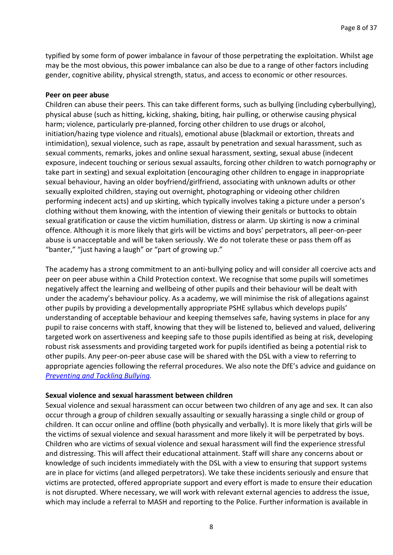typified by some form of power imbalance in favour of those perpetrating the exploitation. Whilst age may be the most obvious, this power imbalance can also be due to a range of other factors including gender, cognitive ability, physical strength, status, and access to economic or other resources.

#### **Peer on peer abuse**

Children can abuse their peers. This can take different forms, such as bullying (including cyberbullying), physical abuse (such as hitting, kicking, shaking, biting, hair pulling, or otherwise causing physical harm; violence, particularly pre-planned, forcing other children to use drugs or alcohol, initiation/hazing type violence and rituals), emotional abuse (blackmail or extortion, threats and intimidation), sexual violence, such as rape, assault by penetration and sexual harassment, such as sexual comments, remarks, jokes and online sexual harassment, sexting, sexual abuse (indecent exposure, indecent touching or serious sexual assaults, forcing other children to watch pornography or take part in sexting) and sexual exploitation (encouraging other children to engage in inappropriate sexual behaviour, having an older boyfriend/girlfriend, associating with unknown adults or other sexually exploited children, staying out overnight, photographing or videoing other children performing indecent acts) and up skirting, which typically involves taking a picture under a person's clothing without them knowing, with the intention of viewing their genitals or buttocks to obtain sexual gratification or cause the victim humiliation, distress or alarm. Up skirting is now a criminal offence. Although it is more likely that girls will be victims and boys' perpetrators, all peer-on-peer abuse is unacceptable and will be taken seriously. We do not tolerate these or pass them off as "banter," "just having a laugh" or "part of growing up."

The academy has a strong commitment to an anti-bullying policy and will consider all coercive acts and peer on peer abuse within a Child Protection context. We recognise that some pupils will sometimes negatively affect the learning and wellbeing of other pupils and their behaviour will be dealt with under the academy's behaviour policy. As a academy, we will minimise the risk of allegations against other pupils by providing a developmentally appropriate PSHE syllabus which develops pupils' understanding of acceptable behaviour and keeping themselves safe, having systems in place for any pupil to raise concerns with staff, knowing that they will be listened to, believed and valued, delivering targeted work on assertiveness and keeping safe to those pupils identified as being at risk, developing robust risk assessments and providing targeted work for pupils identified as being a potential risk to other pupils. Any peer-on-peer abuse case will be shared with the DSL with a view to referring to appropriate agencies following the referral procedures. We also note the DfE's advice and guidance on *[Preventing and Tackling Bullying.](https://assets.publishing.service.gov.uk/government/uploads/system/uploads/attachment_data/file/623895/Preventing_and_tackling_bullying_advice.pdf)*

#### **Sexual violence and sexual harassment between children**

Sexual violence and sexual harassment can occur between two children of any age and sex. It can also occur through a group of children sexually assaulting or sexually harassing a single child or group of children. It can occur online and offline (both physically and verbally). It is more likely that girls will be the victims of sexual violence and sexual harassment and more likely it will be perpetrated by boys. Children who are victims of sexual violence and sexual harassment will find the experience stressful and distressing. This will affect their educational attainment. Staff will share any concerns about or knowledge of such incidents immediately with the DSL with a view to ensuring that support systems are in place for victims (and alleged perpetrators). We take these incidents seriously and ensure that victims are protected, offered appropriate support and every effort is made to ensure their education is not disrupted. Where necessary, we will work with relevant external agencies to address the issue, which may include a referral to MASH and reporting to the Police. Further information is available in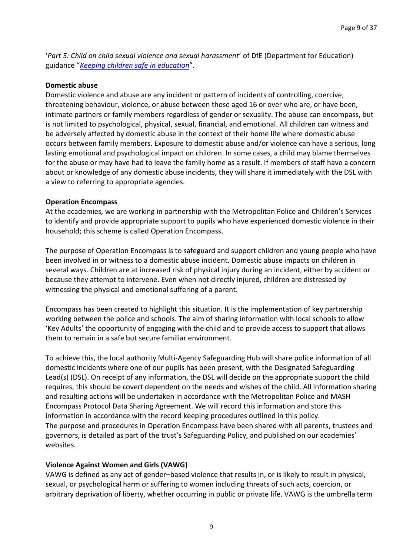'*Part 5: Child on child sexual violence and sexual harassment*' of DfE (Department for Education) guidance "*[Keeping children safe in education](https://www.gov.uk/government/publications/keeping-children-safe-in-education--2)*".

#### **Domestic abuse**

Domestic violence and abuse are any incident or pattern of incidents of controlling, coercive, threatening behaviour, violence, or abuse between those aged 16 or over who are, or have been, intimate partners or family members regardless of gender or sexuality. The abuse can encompass, but is not limited to psychological, physical, sexual, financial, and emotional. All children can witness and be adversely affected by domestic abuse in the context of their home life where domestic abuse occurs between family members. Exposure to domestic abuse and/or violence can have a serious, long lasting emotional and psychological impact on children. In some cases, a child may blame themselves for the abuse or may have had to leave the family home as a result. If members of staff have a concern about or knowledge of any domestic abuse incidents, they will share it immediately with the DSL with a view to referring to appropriate agencies.

#### **Operation Encompass**

At the academies*,* we are working in partnership with the Metropolitan Police and Children's Services to identify and provide appropriate support to pupils who have experienced domestic violence in their household; this scheme is called Operation Encompass.

The purpose of Operation Encompass is to safeguard and support children and young people who have been involved in or witness to a domestic abuse incident. Domestic abuse impacts on children in several ways. Children are at increased risk of physical injury during an incident, either by accident or because they attempt to intervene. Even when not directly injured, children are distressed by witnessing the physical and emotional suffering of a parent.

Encompass has been created to highlight this situation. It is the implementation of key partnership working between the police and schools. The aim of sharing information with local schools to allow 'Key Adults' the opportunity of engaging with the child and to provide access to support that allows them to remain in a safe but secure familiar environment.

To achieve this, the local authority Multi-Agency Safeguarding Hub will share police information of all domestic incidents where one of our pupils has been present, with the Designated Safeguarding Lead(s) (DSL). On receipt of any information, the DSL will decide on the appropriate support the child requires, this should be covert dependent on the needs and wishes of the child. All information sharing and resulting actions will be undertaken in accordance with the Metropolitan Police and MASH Encompass Protocol Data Sharing Agreement. We will record this information and store this information in accordance with the record keeping procedures outlined in this policy. The purpose and procedures in Operation Encompass have been shared with all parents, trustees and governors, is detailed as part of the trust's Safeguarding Policy, and published on our academies' websites.

#### **Violence Against Women and Girls (VAWG)**

VAWG is defined as any act of gender–based violence that results in, or is likely to result in physical, sexual, or psychological harm or suffering to women including threats of such acts, coercion, or arbitrary deprivation of liberty, whether occurring in public or private life. VAWG is the umbrella term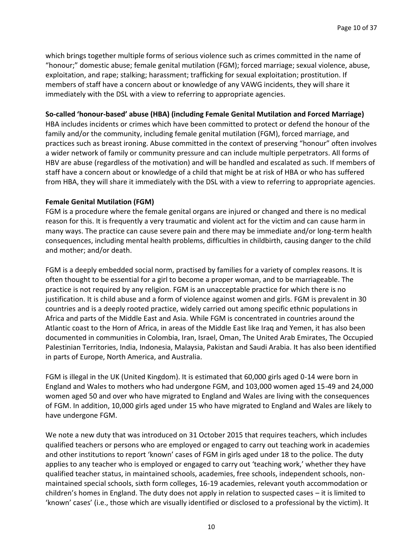which brings together multiple forms of serious violence such as crimes committed in the name of "honour;" domestic abuse; female genital mutilation (FGM); forced marriage; sexual violence, abuse, exploitation, and rape; stalking; harassment; trafficking for sexual exploitation; prostitution. If members of staff have a concern about or knowledge of any VAWG incidents, they will share it immediately with the DSL with a view to referring to appropriate agencies.

#### **So-called 'honour-based' abuse (HBA) (including Female Genital Mutilation and Forced Marriage)**

HBA includes incidents or crimes which have been committed to protect or defend the honour of the family and/or the community, including female genital mutilation (FGM), forced marriage, and practices such as breast ironing. Abuse committed in the context of preserving "honour" often involves a wider network of family or community pressure and can include multiple perpetrators. All forms of HBV are abuse (regardless of the motivation) and will be handled and escalated as such. If members of staff have a concern about or knowledge of a child that might be at risk of HBA or who has suffered from HBA, they will share it immediately with the DSL with a view to referring to appropriate agencies.

#### **Female Genital Mutilation (FGM)**

FGM is a procedure where the female genital organs are injured or changed and there is no medical reason for this. It is frequently a very traumatic and violent act for the victim and can cause harm in many ways. The practice can cause severe pain and there may be immediate and/or long-term health consequences, including mental health problems, difficulties in childbirth, causing danger to the child and mother; and/or death.

FGM is a deeply embedded social norm, practised by families for a variety of complex reasons. It is often thought to be essential for a girl to become a proper woman, and to be marriageable. The practice is not required by any religion. FGM is an unacceptable practice for which there is no justification. It is child abuse and a form of violence against women and girls. FGM is prevalent in 30 countries and is a deeply rooted practice, widely carried out among specific ethnic populations in Africa and parts of the Middle East and Asia. While FGM is concentrated in countries around the Atlantic coast to the Horn of Africa, in areas of the Middle East like Iraq and Yemen, it has also been documented in communities in Colombia, Iran, Israel, Oman, The United Arab Emirates, The Occupied Palestinian Territories, India, Indonesia, Malaysia, Pakistan and Saudi Arabia. It has also been identified in parts of Europe, North America, and Australia.

FGM is illegal in the UK (United Kingdom). It is estimated that 60,000 girls aged 0-14 were born in England and Wales to mothers who had undergone FGM, and 103,000 women aged 15-49 and 24,000 women aged 50 and over who have migrated to England and Wales are living with the consequences of FGM. In addition, 10,000 girls aged under 15 who have migrated to England and Wales are likely to have undergone FGM.

We note a new duty that was introduced on 31 October 2015 that requires teachers, which includes qualified teachers or persons who are employed or engaged to carry out teaching work in academies and other institutions to report 'known' cases of FGM in girls aged under 18 to the police. The duty applies to any teacher who is employed or engaged to carry out 'teaching work,' whether they have qualified teacher status, in maintained schools, academies, free schools, independent schools, nonmaintained special schools, sixth form colleges, 16-19 academies, relevant youth accommodation or children's homes in England. The duty does not apply in relation to suspected cases – it is limited to 'known' cases' (i.e., those which are visually identified or disclosed to a professional by the victim). It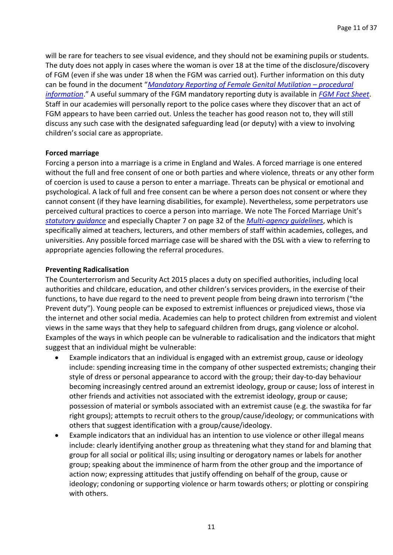will be rare for teachers to see visual evidence, and they should not be examining pupils or students. The duty does not apply in cases where the woman is over 18 at the time of the disclosure/discovery of FGM (even if she was under 18 when the FGM was carried out). Further information on this duty can be found in the document "*[Mandatory Reporting of Female Genital Mutilation](https://www.gov.uk/government/publications/mandatory-reporting-of-female-genital-mutilation-procedural-information) - procedural [information](https://www.gov.uk/government/publications/mandatory-reporting-of-female-genital-mutilation-procedural-information)*." A useful summary of the FGM mandatory reporting duty is available in *[FGM Fact Sheet](https://assets.publishing.service.gov.uk/government/uploads/system/uploads/attachment_data/file/496415/6_1639_HO_SP_FGM_mandatory_reporting_Fact_sheet_Web.pdf)*. Staff in our academies will personally report to the police cases where they discover that an act of FGM appears to have been carried out. Unless the teacher has good reason not to, they will still discuss any such case with the designated safeguarding lead (or deputy) with a view to involving children's social care as appropriate.

#### **Forced marriage**

Forcing a person into a marriage is a crime in England and Wales. A forced marriage is one entered without the full and free consent of one or both parties and where violence, threats or any other form of coercion is used to cause a person to enter a marriage. Threats can be physical or emotional and psychological. A lack of full and free consent can be where a person does not consent or where they cannot consent (if they have learning disabilities, for example). Nevertheless, some perpetrators use perceived cultural practices to coerce a person into marriage. We note The Forced Marriage Unit's *[statutory guidance](https://www.gov.uk/guidance/forced-marriage)* and especially Chapter 7 on page 32 of the *[Multi-agency guidelines](https://assets.publishing.service.gov.uk/government/uploads/system/uploads/attachment_data/file/322307/HMG_MULTI_AGENCY_PRACTICE_GUIDELINES_v1_180614_FINAL.pdf)*, which is specifically aimed at teachers, lecturers, and other members of staff within academies, colleges, and universities. Any possible forced marriage case will be shared with the DSL with a view to referring to appropriate agencies following the referral procedures.

#### **Preventing Radicalisation**

The Counterterrorism and Security Act 2015 places a duty on specified authorities, including local authorities and childcare, education, and other children's services providers, in the exercise of their functions, to have due regard to the need to prevent people from being drawn into terrorism ("the Prevent duty"). Young people can be exposed to extremist influences or prejudiced views, those via the internet and other social media. Academies can help to protect children from extremist and violent views in the same ways that they help to safeguard children from drugs, gang violence or alcohol. Examples of the ways in which people can be vulnerable to radicalisation and the indicators that might suggest that an individual might be vulnerable:

- Example indicators that an individual is engaged with an extremist group, cause or ideology include: spending increasing time in the company of other suspected extremists; changing their style of dress or personal appearance to accord with the group; their day-to-day behaviour becoming increasingly centred around an extremist ideology, group or cause; loss of interest in other friends and activities not associated with the extremist ideology, group or cause; possession of material or symbols associated with an extremist cause (e.g. the swastika for far right groups); attempts to recruit others to the group/cause/ideology; or communications with others that suggest identification with a group/cause/ideology.
- Example indicators that an individual has an intention to use violence or other illegal means include: clearly identifying another group as threatening what they stand for and blaming that group for all social or political ills; using insulting or derogatory names or labels for another group; speaking about the imminence of harm from the other group and the importance of action now; expressing attitudes that justify offending on behalf of the group, cause or ideology; condoning or supporting violence or harm towards others; or plotting or conspiring with others.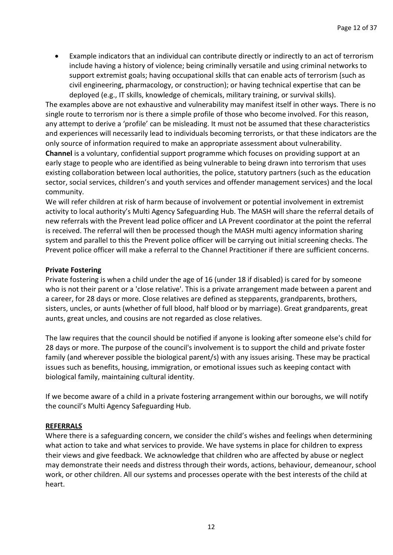• Example indicators that an individual can contribute directly or indirectly to an act of terrorism include having a history of violence; being criminally versatile and using criminal networks to support extremist goals; having occupational skills that can enable acts of terrorism (such as civil engineering, pharmacology, or construction); or having technical expertise that can be deployed (e.g., IT skills, knowledge of chemicals, military training, or survival skills).

The examples above are not exhaustive and vulnerability may manifest itself in other ways. There is no single route to terrorism nor is there a simple profile of those who become involved. For this reason, any attempt to derive a 'profile' can be misleading. It must not be assumed that these characteristics and experiences will necessarily lead to individuals becoming terrorists, or that these indicators are the only source of information required to make an appropriate assessment about vulnerability. **Channel** is a voluntary, confidential support programme which focuses on providing support at an early stage to people who are identified as being vulnerable to being drawn into terrorism that uses existing collaboration between local authorities, the police, statutory partners (such as the education sector, social services, children's and youth services and offender management services) and the local community.

We will refer children at risk of harm because of involvement or potential involvement in extremist activity to local authority's Multi Agency Safeguarding Hub. The MASH will share the referral details of new referrals with the Prevent lead police officer and LA Prevent coordinator at the point the referral is received. The referral will then be processed though the MASH multi agency information sharing system and parallel to this the Prevent police officer will be carrying out initial screening checks. The Prevent police officer will make a referral to the Channel Practitioner if there are sufficient concerns.

#### **Private Fostering**

Private fostering is when a child under the age of 16 (under 18 if disabled) is cared for by someone who is not their parent or a 'close relative'. This is a private arrangement made between a parent and a career, for 28 days or more. Close relatives are defined as stepparents, grandparents, brothers, sisters, uncles, or aunts (whether of full blood, half blood or by marriage). Great grandparents, great aunts, great uncles, and cousins are not regarded as close relatives.

The law requires that the council should be notified if anyone is looking after someone else's child for 28 days or more. The purpose of the council's involvement is to support the child and private foster family (and wherever possible the biological parent/s) with any issues arising. These may be practical issues such as benefits, housing, immigration, or emotional issues such as keeping contact with biological family, maintaining cultural identity.

If we become aware of a child in a private fostering arrangement within our boroughs, we will notify the council's Multi Agency Safeguarding Hub.

#### **REFERRALS**

Where there is a safeguarding concern, we consider the child's wishes and feelings when determining what action to take and what services to provide. We have systems in place for children to express their views and give feedback. We acknowledge that children who are affected by abuse or neglect may demonstrate their needs and distress through their words, actions, behaviour, demeanour, school work, or other children. All our systems and processes operate with the best interests of the child at heart.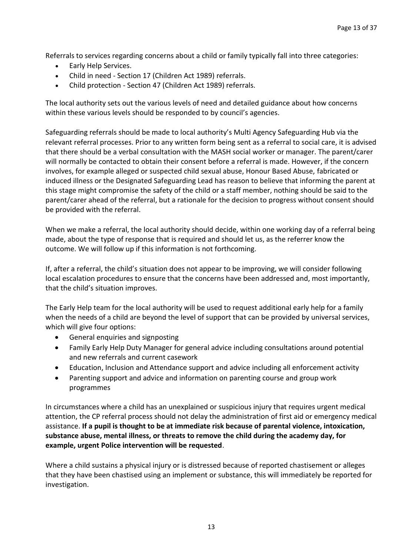Referrals to services regarding concerns about a child or family typically fall into three categories:

- Early Help Services.
- Child in need Section 17 (Children Act 1989) referrals.
- Child protection Section 47 (Children Act 1989) referrals.

The local authority sets out the various levels of need and detailed guidance about how concerns within these various levels should be responded to by council's agencies.

Safeguarding referrals should be made to local authority's Multi Agency Safeguarding Hub via the relevant referral processes. Prior to any written form being sent as a referral to social care, it is advised that there should be a verbal consultation with the MASH social worker or manager. The parent/carer will normally be contacted to obtain their consent before a referral is made. However, if the concern involves, for example alleged or suspected child sexual abuse, Honour Based Abuse, fabricated or induced illness or the Designated Safeguarding Lead has reason to believe that informing the parent at this stage might compromise the safety of the child or a staff member, nothing should be said to the parent/carer ahead of the referral, but a rationale for the decision to progress without consent should be provided with the referral.

When we make a referral, the local authority should decide, within one working day of a referral being made, about the type of response that is required and should let us, as the referrer know the outcome. We will follow up if this information is not forthcoming.

If, after a referral, the child's situation does not appear to be improving, we will consider following local escalation procedures to ensure that the concerns have been addressed and, most importantly, that the child's situation improves.

The Early Help team for the local authority will be used to request additional early help for a family when the needs of a child are beyond the level of support that can be provided by universal services, which will give four options:

- General enquiries and signposting
- Family Early Help Duty Manager for general advice including consultations around potential and new referrals and current casework
- Education, Inclusion and Attendance support and advice including all enforcement activity
- Parenting support and advice and information on parenting course and group work programmes

In circumstances where a child has an unexplained or suspicious injury that requires urgent medical attention, the CP referral process should not delay the administration of first aid or emergency medical assistance. **If a pupil is thought to be at immediate risk because of parental violence, intoxication, substance abuse, mental illness, or threats to remove the child during the academy day, for example, urgent Police intervention will be requested**.

Where a child sustains a physical injury or is distressed because of reported chastisement or alleges that they have been chastised using an implement or substance, this will immediately be reported for investigation.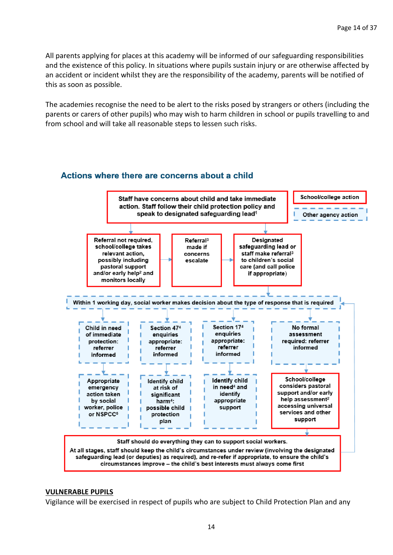All parents applying for places at this academy will be informed of our safeguarding responsibilities and the existence of this policy. In situations where pupils sustain injury or are otherwise affected by an accident or incident whilst they are the responsibility of the academy, parents will be notified of this as soon as possible.

The academies recognise the need to be alert to the risks posed by strangers or others (including the parents or carers of other pupils) who may wish to harm children in school or pupils travelling to and from school and will take all reasonable steps to lessen such risks.

#### Actions where there are concerns about a child



#### **VULNERABLE PUPILS**

Vigilance will be exercised in respect of pupils who are subject to Child Protection Plan and any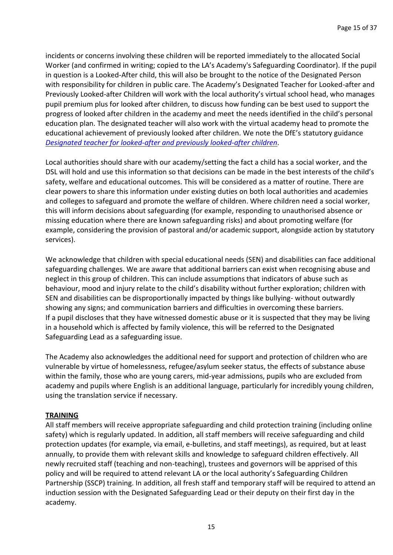incidents or concerns involving these children will be reported immediately to the allocated Social Worker (and confirmed in writing; copied to the LA's Academy's Safeguarding Coordinator). If the pupil in question is a Looked-After child, this will also be brought to the notice of the Designated Person with responsibility for children in public care. The Academy's Designated Teacher for Looked-after and Previously Looked-after Children will work with the local authority's virtual school head, who manages pupil premium plus for looked after children, to discuss how funding can be best used to support the progress of looked after children in the academy and meet the needs identified in the child's personal education plan. The designated teacher will also work with the virtual academy head to promote the educational achievement of previously looked after children. We note the DfE's statutory guidance *[Designated teacher for looked-after and previously looked-after children](https://www.gov.uk/government/publications/designated-teacher-for-looked-after-children)*.

Local authorities should share with our academy/setting the fact a child has a social worker, and the DSL will hold and use this information so that decisions can be made in the best interests of the child's safety, welfare and educational outcomes. This will be considered as a matter of routine. There are clear powers to share this information under existing duties on both local authorities and academies and colleges to safeguard and promote the welfare of children. Where children need a social worker, this will inform decisions about safeguarding (for example, responding to unauthorised absence or missing education where there are known safeguarding risks) and about promoting welfare (for example, considering the provision of pastoral and/or academic support, alongside action by statutory services).

We acknowledge that children with special educational needs (SEN) and disabilities can face additional safeguarding challenges. We are aware that additional barriers can exist when recognising abuse and neglect in this group of children. This can include assumptions that indicators of abuse such as behaviour, mood and injury relate to the child's disability without further exploration; children with SEN and disabilities can be disproportionally impacted by things like bullying- without outwardly showing any signs; and communication barriers and difficulties in overcoming these barriers. If a pupil discloses that they have witnessed domestic abuse or it is suspected that they may be living in a household which is affected by family violence, this will be referred to the Designated Safeguarding Lead as a safeguarding issue.

The Academy also acknowledges the additional need for support and protection of children who are vulnerable by virtue of homelessness, refugee/asylum seeker status, the effects of substance abuse within the family, those who are young carers, mid-year admissions, pupils who are excluded from academy and pupils where English is an additional language, particularly for incredibly young children, using the translation service if necessary.

#### **TRAINING**

All staff members will receive appropriate safeguarding and child protection training (including online safety) which is regularly updated. In addition, all staff members will receive safeguarding and child protection updates (for example, via email, e-bulletins, and staff meetings), as required, but at least annually, to provide them with relevant skills and knowledge to safeguard children effectively. All newly recruited staff (teaching and non-teaching), trustees and governors will be apprised of this policy and will be required to attend relevant LA or the local authority's Safeguarding Children Partnership (SSCP) training. In addition, all fresh staff and temporary staff will be required to attend an induction session with the Designated Safeguarding Lead or their deputy on their first day in the academy.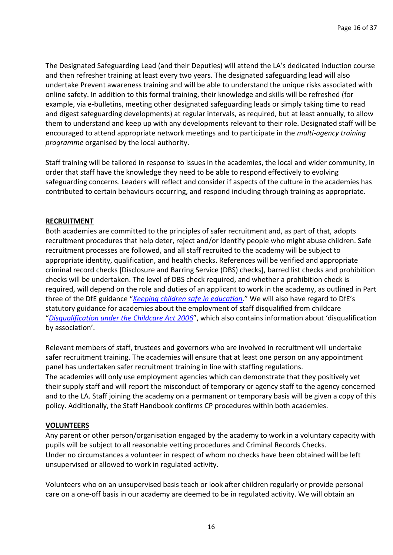The Designated Safeguarding Lead (and their Deputies) will attend the LA's dedicated induction course and then refresher training at least every two years. The designated safeguarding lead will also undertake Prevent awareness training and will be able to understand the unique risks associated with online safety. In addition to this formal training, their knowledge and skills will be refreshed (for example, via e-bulletins, meeting other designated safeguarding leads or simply taking time to read and digest safeguarding developments) at regular intervals, as required, but at least annually, to allow them to understand and keep up with any developments relevant to their role. Designated staff will be encouraged to attend appropriate network meetings and to participate in the *multi-agency training programme* organised by the local authority.

Staff training will be tailored in response to issues in the academies, the local and wider community, in order that staff have the knowledge they need to be able to respond effectively to evolving safeguarding concerns. Leaders will reflect and consider if aspects of the culture in the academies has contributed to certain behaviours occurring, and respond including through training as appropriate.

#### **RECRUITMENT**

Both academies are committed to the principles of safer recruitment and, as part of that, adopts recruitment procedures that help deter, reject and/or identify people who might abuse children. Safe recruitment processes are followed, and all staff recruited to the academy will be subject to appropriate identity, qualification, and health checks. References will be verified and appropriate criminal record checks [Disclosure and Barring Service (DBS) checks], barred list checks and prohibition checks will be undertaken. The level of DBS check required, and whether a prohibition check is required, will depend on the role and duties of an applicant to work in the academy, as outlined in Part three of the DfE guidance "*[Keeping children safe in education](https://www.gov.uk/government/publications/keeping-children-safe-in-education--2)*." We will also have regard to DfE's statutory guidance for academies about the employment of staff disqualified from childcare "*[Disqualification under the Childcare Act 2006](https://www.gov.uk/government/publications/disqualification-under-the-childcare-act-2006)*", which also contains information about 'disqualification by association'.

Relevant members of staff, trustees and governors who are involved in recruitment will undertake safer recruitment training. The academies will ensure that at least one person on any appointment panel has undertaken safer recruitment training in line with staffing regulations. The academies will only use employment agencies which can demonstrate that they positively vet their supply staff and will report the misconduct of temporary or agency staff to the agency concerned and to the LA. Staff joining the academy on a permanent or temporary basis will be given a copy of this policy. Additionally, the Staff Handbook confirms CP procedures within both academies.

#### **VOLUNTEERS**

Any parent or other person/organisation engaged by the academy to work in a voluntary capacity with pupils will be subject to all reasonable vetting procedures and Criminal Records Checks. Under no circumstances a volunteer in respect of whom no checks have been obtained will be left unsupervised or allowed to work in regulated activity.

Volunteers who on an unsupervised basis teach or look after children regularly or provide personal care on a one-off basis in our academy are deemed to be in regulated activity. We will obtain an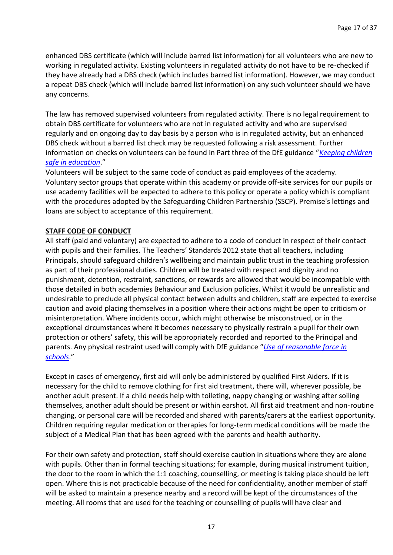enhanced DBS certificate (which will include barred list information) for all volunteers who are new to working in regulated activity. Existing volunteers in regulated activity do not have to be re-checked if they have already had a DBS check (which includes barred list information). However, we may conduct a repeat DBS check (which will include barred list information) on any such volunteer should we have any concerns.

The law has removed supervised volunteers from regulated activity. There is no legal requirement to obtain DBS certificate for volunteers who are not in regulated activity and who are supervised regularly and on ongoing day to day basis by a person who is in regulated activity, but an enhanced DBS check without a barred list check may be requested following a risk assessment. Further information on checks on volunteers can be found in Part three of the DfE guidance "*[Keeping children](https://www.gov.uk/government/publications/keeping-children-safe-in-education--2)  [safe in education](https://www.gov.uk/government/publications/keeping-children-safe-in-education--2)*."

Volunteers will be subject to the same code of conduct as paid employees of the academy. Voluntary sector groups that operate within this academy or provide off-site services for our pupils or use academy facilities will be expected to adhere to this policy or operate a policy which is compliant with the procedures adopted by the Safeguarding Children Partnership (SSCP). Premise's lettings and loans are subject to acceptance of this requirement.

#### **STAFF CODE OF CONDUCT**

All staff (paid and voluntary) are expected to adhere to a code of conduct in respect of their contact with pupils and their families. The Teachers' Standards 2012 state that all teachers, including Principals, should safeguard children's wellbeing and maintain public trust in the teaching profession as part of their professional duties. Children will be treated with respect and dignity and no punishment, detention, restraint, sanctions, or rewards are allowed that would be incompatible with those detailed in both academies Behaviour and Exclusion policies. Whilst it would be unrealistic and undesirable to preclude all physical contact between adults and children, staff are expected to exercise caution and avoid placing themselves in a position where their actions might be open to criticism or misinterpretation. Where incidents occur, which might otherwise be misconstrued, or in the exceptional circumstances where it becomes necessary to physically restrain a pupil for their own protection or others' safety, this will be appropriately recorded and reported to the Principal and parents. Any physical restraint used will comply with DfE guidance "*[Use of reasonable force in](https://www.gov.uk/government/publications/use-of-reasonable-force-in-schools)  [schools](https://www.gov.uk/government/publications/use-of-reasonable-force-in-schools)*."

Except in cases of emergency, first aid will only be administered by qualified First Aiders. If it is necessary for the child to remove clothing for first aid treatment, there will, wherever possible, be another adult present. If a child needs help with toileting, nappy changing or washing after soiling themselves, another adult should be present or within earshot. All first aid treatment and non-routine changing, or personal care will be recorded and shared with parents/carers at the earliest opportunity. Children requiring regular medication or therapies for long-term medical conditions will be made the subject of a Medical Plan that has been agreed with the parents and health authority.

For their own safety and protection, staff should exercise caution in situations where they are alone with pupils. Other than in formal teaching situations; for example, during musical instrument tuition, the door to the room in which the 1:1 coaching, counselling, or meeting is taking place should be left open. Where this is not practicable because of the need for confidentiality, another member of staff will be asked to maintain a presence nearby and a record will be kept of the circumstances of the meeting. All rooms that are used for the teaching or counselling of pupils will have clear and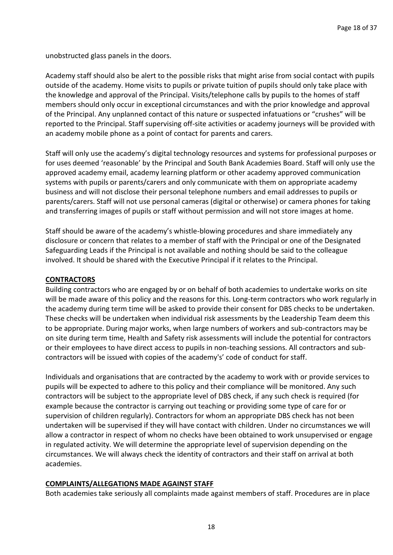unobstructed glass panels in the doors.

Academy staff should also be alert to the possible risks that might arise from social contact with pupils outside of the academy. Home visits to pupils or private tuition of pupils should only take place with the knowledge and approval of the Principal. Visits/telephone calls by pupils to the homes of staff members should only occur in exceptional circumstances and with the prior knowledge and approval of the Principal. Any unplanned contact of this nature or suspected infatuations or "crushes" will be reported to the Principal. Staff supervising off-site activities or academy journeys will be provided with an academy mobile phone as a point of contact for parents and carers.

Staff will only use the academy's digital technology resources and systems for professional purposes or for uses deemed 'reasonable' by the Principal and South Bank Academies Board. Staff will only use the approved academy email, academy learning platform or other academy approved communication systems with pupils or parents/carers and only communicate with them on appropriate academy business and will not disclose their personal telephone numbers and email addresses to pupils or parents/carers. Staff will not use personal cameras (digital or otherwise) or camera phones for taking and transferring images of pupils or staff without permission and will not store images at home.

Staff should be aware of the academy's whistle-blowing procedures and share immediately any disclosure or concern that relates to a member of staff with the Principal or one of the Designated Safeguarding Leads if the Principal is not available and nothing should be said to the colleague involved. It should be shared with the Executive Principal if it relates to the Principal.

#### **CONTRACTORS**

Building contractors who are engaged by or on behalf of both academies to undertake works on site will be made aware of this policy and the reasons for this. Long-term contractors who work regularly in the academy during term time will be asked to provide their consent for DBS checks to be undertaken. These checks will be undertaken when individual risk assessments by the Leadership Team deem this to be appropriate. During major works, when large numbers of workers and sub-contractors may be on site during term time, Health and Safety risk assessments will include the potential for contractors or their employees to have direct access to pupils in non-teaching sessions. All contractors and subcontractors will be issued with copies of the academy's' code of conduct for staff.

Individuals and organisations that are contracted by the academy to work with or provide services to pupils will be expected to adhere to this policy and their compliance will be monitored. Any such contractors will be subject to the appropriate level of DBS check, if any such check is required (for example because the contractor is carrying out teaching or providing some type of care for or supervision of children regularly). Contractors for whom an appropriate DBS check has not been undertaken will be supervised if they will have contact with children. Under no circumstances we will allow a contractor in respect of whom no checks have been obtained to work unsupervised or engage in regulated activity. We will determine the appropriate level of supervision depending on the circumstances. We will always check the identity of contractors and their staff on arrival at both academies.

#### **COMPLAINTS/ALLEGATIONS MADE AGAINST STAFF**

Both academies take seriously all complaints made against members of staff. Procedures are in place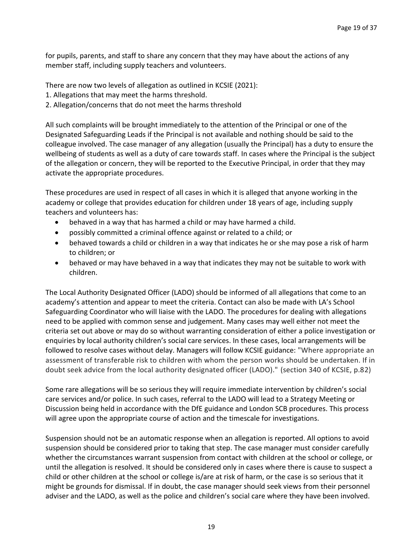for pupils, parents, and staff to share any concern that they may have about the actions of any member staff, including supply teachers and volunteers.

There are now two levels of allegation as outlined in KCSIE (2021):

- 1. Allegations that may meet the harms threshold.
- 2. Allegation/concerns that do not meet the harms threshold

All such complaints will be brought immediately to the attention of the Principal or one of the Designated Safeguarding Leads if the Principal is not available and nothing should be said to the colleague involved. The case manager of any allegation (usually the Principal) has a duty to ensure the wellbeing of students as well as a duty of care towards staff. In cases where the Principal is the subject of the allegation or concern, they will be reported to the Executive Principal, in order that they may activate the appropriate procedures.

These procedures are used in respect of all cases in which it is alleged that anyone working in the academy or college that provides education for children under 18 years of age, including supply teachers and volunteers has:

- behaved in a way that has harmed a child or may have harmed a child.
- possibly committed a criminal offence against or related to a child; or
- behaved towards a child or children in a way that indicates he or she may pose a risk of harm to children; or
- behaved or may have behaved in a way that indicates they may not be suitable to work with children.

The Local Authority Designated Officer (LADO) should be informed of all allegations that come to an academy's attention and appear to meet the criteria. Contact can also be made with LA's School Safeguarding Coordinator who will liaise with the LADO. The procedures for dealing with allegations need to be applied with common sense and judgement. Many cases may well either not meet the criteria set out above or may do so without warranting consideration of either a police investigation or enquiries by local authority children's social care services. In these cases, local arrangements will be followed to resolve cases without delay. Managers will follow KCSIE guidance: "Where appropriate an assessment of transferable risk to children with whom the person works should be undertaken. If in doubt seek advice from the local authority designated officer (LADO)." (section 340 of KCSIE, p.82)

Some rare allegations will be so serious they will require immediate intervention by children's social care services and/or police. In such cases, referral to the LADO will lead to a Strategy Meeting or Discussion being held in accordance with the DfE guidance and London SCB procedures. This process will agree upon the appropriate course of action and the timescale for investigations.

Suspension should not be an automatic response when an allegation is reported. All options to avoid suspension should be considered prior to taking that step. The case manager must consider carefully whether the circumstances warrant suspension from contact with children at the school or college, or until the allegation is resolved. It should be considered only in cases where there is cause to suspect a child or other children at the school or college is/are at risk of harm, or the case is so serious that it might be grounds for dismissal. If in doubt, the case manager should seek views from their personnel adviser and the LADO, as well as the police and children's social care where they have been involved.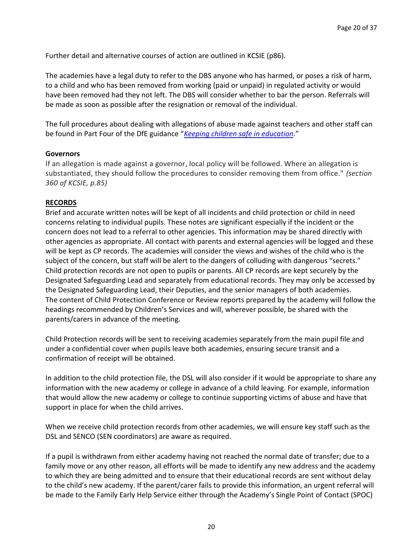Further detail and alternative courses of action are outlined in KCSIE (p86).

The academies have a legal duty to refer to the DBS anyone who has harmed, or poses a risk of harm, to a child and who has been removed from working (paid or unpaid) in regulated activity or would have been removed had they not left. The DBS will consider whether to bar the person. Referrals will be made as soon as possible after the resignation or removal of the individual.

The full procedures about dealing with allegations of abuse made against teachers and other staff can be found in Part Four of the DfE guidance "*[Keeping children safe in education](https://www.gov.uk/government/publications/keeping-children-safe-in-education--2)*."

#### **Governors**

If an allegation is made against a governor, local policy will be followed. Where an allegation is substantiated, they should follow the procedures to consider removing them from office." *(section 360 of KCSIE, p.85)*

#### **RECORDS**

Brief and accurate written notes will be kept of all incidents and child protection or child in need concerns relating to individual pupils. These notes are significant especially if the incident or the concern does not lead to a referral to other agencies. This information may be shared directly with other agencies as appropriate. All contact with parents and external agencies will be logged and these will be kept as CP records. The academies will consider the views and wishes of the child who is the subject of the concern, but staff will be alert to the dangers of colluding with dangerous "secrets." Child protection records are not open to pupils or parents. All CP records are kept securely by the Designated Safeguarding Lead and separately from educational records. They may only be accessed by the Designated Safeguarding Lead, their Deputies, and the senior managers of both academies. The content of Child Protection Conference or Review reports prepared by the academy will follow the headings recommended by Children's Services and will, wherever possible, be shared with the parents/carers in advance of the meeting.

Child Protection records will be sent to receiving academies separately from the main pupil file and under a confidential cover when pupils leave both academies, ensuring secure transit and a confirmation of receipt will be obtained.

In addition to the child protection file, the DSL will also consider if it would be appropriate to share any information with the new academy or college in advance of a child leaving. For example, information that would allow the new academy or college to continue supporting victims of abuse and have that support in place for when the child arrives.

When we receive child protection records from other academies, we will ensure key staff such as the DSL and SENCO (SEN coordinators) are aware as required.

If a pupil is withdrawn from either academy having not reached the normal date of transfer; due to a family move or any other reason, all efforts will be made to identify any new address and the academy to which they are being admitted and to ensure that their educational records are sent without delay to the child's new academy. If the parent/carer fails to provide this information, an urgent referral will be made to the Family Early Help Service either through the Academy's Single Point of Contact (SPOC)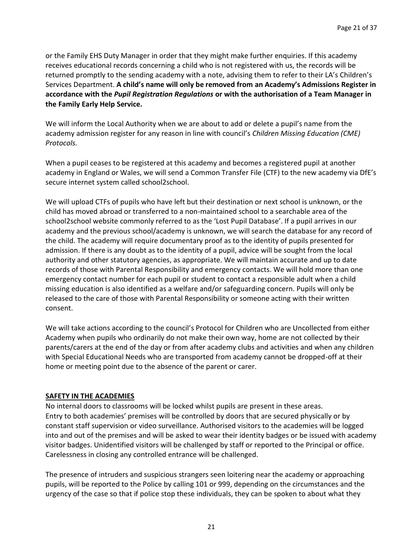or the Family EHS Duty Manager in order that they might make further enquiries. If this academy receives educational records concerning a child who is not registered with us, the records will be returned promptly to the sending academy with a note, advising them to refer to their LA's Children's Services Department. **A child's name will only be removed from an Academy's Admissions Register in accordance with the** *Pupil Registration Regulations* **or with the authorisation of a Team Manager in the Family Early Help Service.**

We will inform the Local Authority when we are about to add or delete a pupil's name from the academy admission register for any reason in line with council's *Children Missing Education (CME) Protocols.*

When a pupil ceases to be registered at this academy and becomes a registered pupil at another academy in England or Wales, we will send a Common Transfer File (CTF) to the new academy via DfE's secure internet system called school2school.

We will upload CTFs of pupils who have left but their destination or next school is unknown, or the child has moved abroad or transferred to a non-maintained school to a searchable area of the school2school website commonly referred to as the 'Lost Pupil Database'. If a pupil arrives in our academy and the previous school/academy is unknown, we will search the database for any record of the child. The academy will require documentary proof as to the identity of pupils presented for admission. If there is any doubt as to the identity of a pupil, advice will be sought from the local authority and other statutory agencies, as appropriate. We will maintain accurate and up to date records of those with Parental Responsibility and emergency contacts. We will hold more than one emergency contact number for each pupil or student to contact a responsible adult when a child missing education is also identified as a welfare and/or safeguarding concern. Pupils will only be released to the care of those with Parental Responsibility or someone acting with their written consent.

We will take actions according to the council's Protocol for Children who are Uncollected from either Academy when pupils who ordinarily do not make their own way, home are not collected by their parents/carers at the end of the day or from after academy clubs and activities and when any children with Special Educational Needs who are transported from academy cannot be dropped-off at their home or meeting point due to the absence of the parent or carer.

#### **SAFETY IN THE ACADEMIES**

No internal doors to classrooms will be locked whilst pupils are present in these areas. Entry to both academies' premises will be controlled by doors that are secured physically or by constant staff supervision or video surveillance. Authorised visitors to the academies will be logged into and out of the premises and will be asked to wear their identity badges or be issued with academy visitor badges. Unidentified visitors will be challenged by staff or reported to the Principal or office. Carelessness in closing any controlled entrance will be challenged.

The presence of intruders and suspicious strangers seen loitering near the academy or approaching pupils, will be reported to the Police by calling 101 or 999, depending on the circumstances and the urgency of the case so that if police stop these individuals, they can be spoken to about what they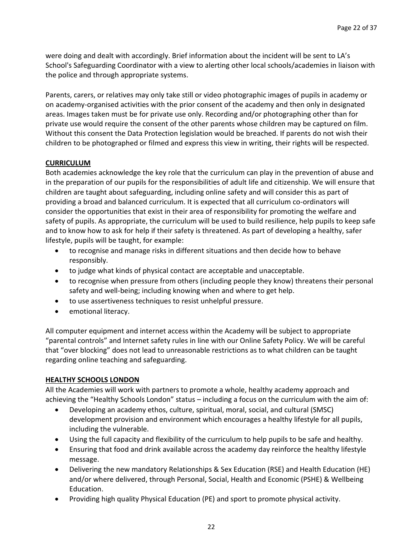were doing and dealt with accordingly. Brief information about the incident will be sent to LA's School's Safeguarding Coordinator with a view to alerting other local schools/academies in liaison with the police and through appropriate systems.

Parents, carers, or relatives may only take still or video photographic images of pupils in academy or on academy-organised activities with the prior consent of the academy and then only in designated areas. Images taken must be for private use only. Recording and/or photographing other than for private use would require the consent of the other parents whose children may be captured on film. Without this consent the Data Protection legislation would be breached. If parents do not wish their children to be photographed or filmed and express this view in writing, their rights will be respected.

#### **CURRICULUM**

Both academies acknowledge the key role that the curriculum can play in the prevention of abuse and in the preparation of our pupils for the responsibilities of adult life and citizenship. We will ensure that children are taught about safeguarding, including online safety and will consider this as part of providing a broad and balanced curriculum. It is expected that all curriculum co-ordinators will consider the opportunities that exist in their area of responsibility for promoting the welfare and safety of pupils. As appropriate, the curriculum will be used to build resilience, help pupils to keep safe and to know how to ask for help if their safety is threatened. As part of developing a healthy, safer lifestyle, pupils will be taught, for example:

- to recognise and manage risks in different situations and then decide how to behave responsibly.
- to judge what kinds of physical contact are acceptable and unacceptable.
- to recognise when pressure from others (including people they know) threatens their personal safety and well-being; including knowing when and where to get help.
- to use assertiveness techniques to resist unhelpful pressure.
- emotional literacy.

All computer equipment and internet access within the Academy will be subject to appropriate "parental controls" and Internet safety rules in line with our Online Safety Policy. We will be careful that "over blocking" does not lead to unreasonable restrictions as to what children can be taught regarding online teaching and safeguarding.

#### **HEALTHY SCHOOLS LONDON**

All the Academies will work with partners to promote a whole, healthy academy approach and achieving the "Healthy Schools London" status – including a focus on the curriculum with the aim of:

- Developing an academy ethos, culture, spiritual, moral, social, and cultural (SMSC) development provision and environment which encourages a healthy lifestyle for all pupils, including the vulnerable.
- Using the full capacity and flexibility of the curriculum to help pupils to be safe and healthy.
- Ensuring that food and drink available across the academy day reinforce the healthy lifestyle message.
- Delivering the new mandatory Relationships & Sex Education (RSE) and Health Education (HE) and/or where delivered, through Personal, Social, Health and Economic (PSHE) & Wellbeing Education.
- Providing high quality Physical Education (PE) and sport to promote physical activity.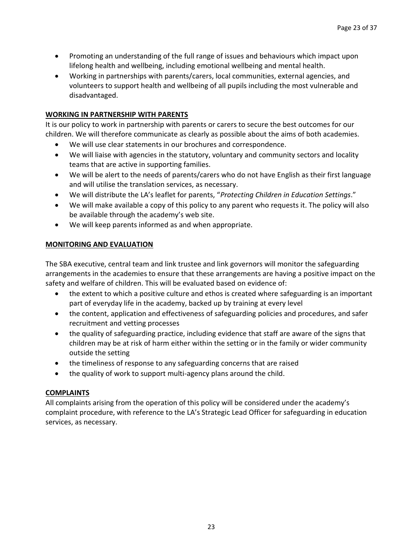- Promoting an understanding of the full range of issues and behaviours which impact upon lifelong health and wellbeing, including emotional wellbeing and mental health.
- Working in partnerships with parents/carers, local communities, external agencies, and volunteers to support health and wellbeing of all pupils including the most vulnerable and disadvantaged.

#### **WORKING IN PARTNERSHIP WITH PARENTS**

It is our policy to work in partnership with parents or carers to secure the best outcomes for our children. We will therefore communicate as clearly as possible about the aims of both academies.

- We will use clear statements in our brochures and correspondence.
- We will liaise with agencies in the statutory, voluntary and community sectors and locality teams that are active in supporting families.
- We will be alert to the needs of parents/carers who do not have English as their first language and will utilise the translation services, as necessary.
- We will distribute the LA's leaflet for parents, "*Protecting Children in Education Settings*."
- We will make available a copy of this policy to any parent who requests it. The policy will also be available through the academy's web site.
- We will keep parents informed as and when appropriate.

#### **MONITORING AND EVALUATION**

The SBA executive, central team and link trustee and link governors will monitor the safeguarding arrangements in the academies to ensure that these arrangements are having a positive impact on the safety and welfare of children. This will be evaluated based on evidence of:

- the extent to which a positive culture and ethos is created where safeguarding is an important part of everyday life in the academy, backed up by training at every level
- the content, application and effectiveness of safeguarding policies and procedures, and safer recruitment and vetting processes
- the quality of safeguarding practice, including evidence that staff are aware of the signs that children may be at risk of harm either within the setting or in the family or wider community outside the setting
- the timeliness of response to any safeguarding concerns that are raised
- the quality of work to support multi-agency plans around the child.

#### **COMPLAINTS**

All complaints arising from the operation of this policy will be considered under the academy's complaint procedure, with reference to the LA's Strategic Lead Officer for safeguarding in education services, as necessary.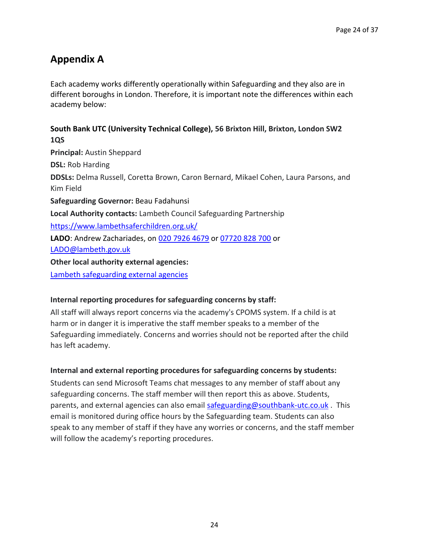### **Appendix A**

Each academy works differently operationally within Safeguarding and they also are in different boroughs in London. Therefore, it is important note the differences within each academy below:

#### **South Bank UTC (University Technical College), 56 Brixton Hill, Brixton, London SW2 1QS**

**Principal:** Austin Sheppard **DSL:** Rob Harding **DDSLs:** Delma Russell, Coretta Brown, Caron Bernard, Mikael Cohen, Laura Parsons, and Kim Field **Safeguarding Governor:** Beau Fadahunsi **Local Authority contacts:** Lambeth Council Safeguarding Partnership <https://www.lambethsaferchildren.org.uk/> **LADO**: Andrew Zachariades, on 020 [7926 4679](tel:+442079264679) or [07720 828 700](tel:07720828700) or [LADO@lambeth.gov.uk](mailto:LADO@lambeth.gov.uk) **Other local authority external agencies:** [Lambeth safeguarding external agencies](https://www.lambethsaferchildren.org.uk/information-resources)

#### **Internal reporting procedures for safeguarding concerns by staff:**

All staff will always report concerns via the academy's CPOMS system. If a child is at harm or in danger it is imperative the staff member speaks to a member of the Safeguarding immediately. Concerns and worries should not be reported after the child has left academy.

#### **Internal and external reporting procedures for safeguarding concerns by students:**

Students can send Microsoft Teams chat messages to any member of staff about any safeguarding concerns. The staff member will then report this as above. Students, parents, and external agencies can also email [safeguarding@southbank-utc.co.uk](mailto:safeguarding@southbank-utc.co.uk) . This email is monitored during office hours by the Safeguarding team. Students can also speak to any member of staff if they have any worries or concerns, and the staff member will follow the academy's reporting procedures.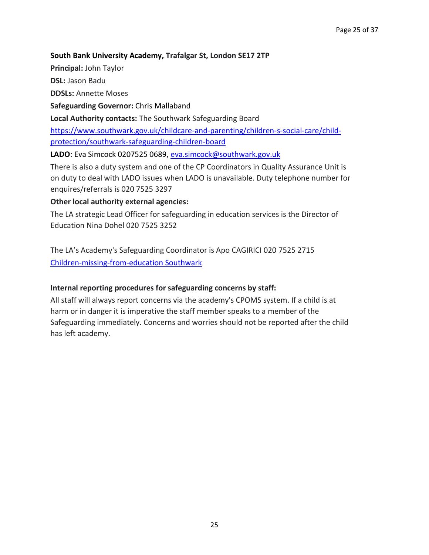#### **South Bank University Academy, Trafalgar St, London SE17 2TP**

**Principal:** John Taylor

**DSL:** Jason Badu

**DDSLs:** Annette Moses

**Safeguarding Governor:** Chris Mallaband

**Local Authority contacts:** The Southwark Safeguarding Board

[https://www.southwark.gov.uk/childcare-and-parenting/children-s-social-care/child](https://www.southwark.gov.uk/childcare-and-parenting/children-s-social-care/child-protection/southwark-safeguarding-children-board)[protection/southwark-safeguarding-children-board](https://www.southwark.gov.uk/childcare-and-parenting/children-s-social-care/child-protection/southwark-safeguarding-children-board)

**LADO**: Eva Simcock 0207525 0689, [eva.simcock@southwark.gov.uk](mailto:eva.simcock@southwark.gov.uk)

There is also a duty system and one of the CP Coordinators in Quality Assurance Unit is on duty to deal with LADO issues when LADO is unavailable. Duty telephone number for enquires/referrals is 020 7525 3297

**Other local authority external agencies:**

The LA strategic Lead Officer for safeguarding in education services is the Director of Education Nina Dohel 020 7525 3252

The LA's Academy's Safeguarding Coordinator is Apo CAGIRICI 020 7525 2715 [Children-missing-from-education Southwark](https://www.southwark.gov.uk/schools-and-education/schools-in-southwark/children-missing-from-education)

#### **Internal reporting procedures for safeguarding concerns by staff:**

All staff will always report concerns via the academy's CPOMS system. If a child is at harm or in danger it is imperative the staff member speaks to a member of the Safeguarding immediately. Concerns and worries should not be reported after the child has left academy.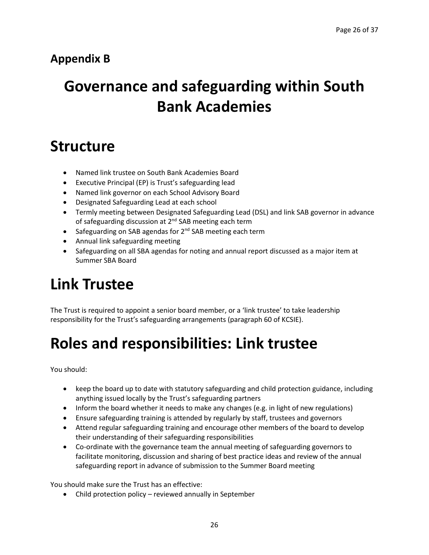### **Appendix B**

# **Governance and safeguarding within South Bank Academies**

## **Structure**

- Named link trustee on South Bank Academies Board
- Executive Principal (EP) is Trust's safeguarding lead
- Named link governor on each School Advisory Board
- Designated Safeguarding Lead at each school
- Termly meeting between Designated Safeguarding Lead (DSL) and link SAB governor in advance of safeguarding discussion at  $2^{nd}$  SAB meeting each term
- Safeguarding on SAB agendas for 2<sup>nd</sup> SAB meeting each term
- Annual link safeguarding meeting
- Safeguarding on all SBA agendas for noting and annual report discussed as a major item at Summer SBA Board

## **Link Trustee**

The Trust is required to appoint a senior board member, or a 'link trustee' to take leadership responsibility for the Trust's safeguarding arrangements (paragraph 60 of KCSIE).

## **Roles and responsibilities: Link trustee**

You should:

- keep the board up to date with statutory safeguarding and child protection guidance, including anything issued locally by the Trust's safeguarding partners
- Inform the board whether it needs to make any changes (e.g. in light of new regulations)
- Ensure safeguarding training is attended by regularly by staff, trustees and governors
- Attend regular safeguarding training and encourage other members of the board to develop their understanding of their safeguarding responsibilities
- Co-ordinate with the governance team the annual meeting of safeguarding governors to facilitate monitoring, discussion and sharing of best practice ideas and review of the annual safeguarding report in advance of submission to the Summer Board meeting

You should make sure the Trust has an effective:

• Child protection policy – reviewed annually in September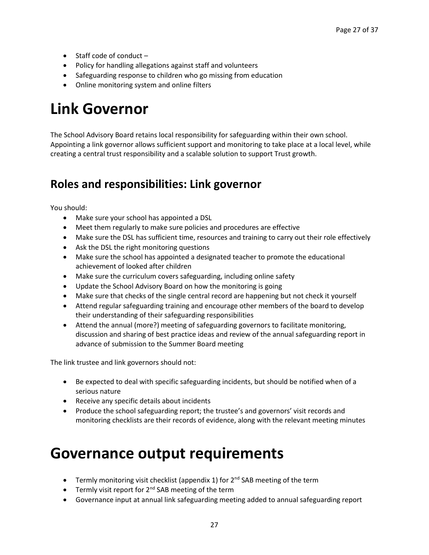- Staff code of conduct –
- Policy for handling allegations against staff and volunteers
- Safeguarding response to children who go missing from education
- Online monitoring system and online filters

## **Link Governor**

The School Advisory Board retains local responsibility for safeguarding within their own school. Appointing a link governor allows sufficient support and monitoring to take place at a local level, while creating a central trust responsibility and a scalable solution to support Trust growth.

### **Roles and responsibilities: Link governor**

You should:

- Make sure your school has appointed a DSL
- Meet them regularly to make sure policies and procedures are effective
- Make sure the DSL has sufficient time, resources and training to carry out their role effectively
- Ask the DSL the right monitoring questions
- Make sure the school has appointed a designated teacher to promote the educational achievement of looked after children
- Make sure the curriculum covers safeguarding, including online safety
- Update the School Advisory Board on how the monitoring is going
- Make sure that checks of the single central record are happening but not check it yourself
- Attend regular safeguarding training and encourage other members of the board to develop their understanding of their safeguarding responsibilities
- Attend the annual (more?) meeting of safeguarding governors to facilitate monitoring, discussion and sharing of best practice ideas and review of the annual safeguarding report in advance of submission to the Summer Board meeting

The link trustee and link governors should not:

- Be expected to deal with specific safeguarding incidents, but should be notified when of a serious nature
- Receive any specific details about incidents
- Produce the school safeguarding report; the trustee's and governors' visit records and monitoring checklists are their records of evidence, along with the relevant meeting minutes

## **Governance output requirements**

- Termly monitoring visit checklist (appendix 1) for 2<sup>nd</sup> SAB meeting of the term
- Termly visit report for  $2^{nd}$  SAB meeting of the term
- Governance input at annual link safeguarding meeting added to annual safeguarding report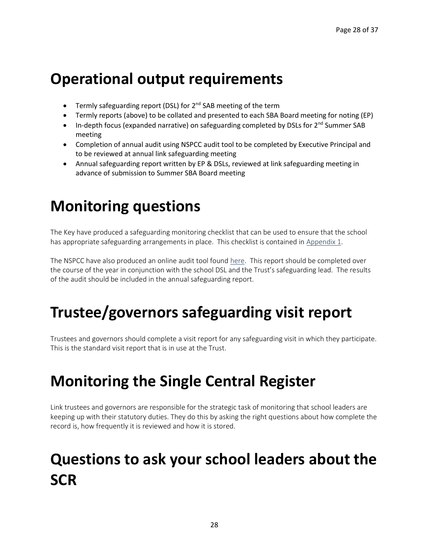## **Operational output requirements**

- Termly safeguarding report (DSL) for 2<sup>nd</sup> SAB meeting of the term
- Termly reports (above) to be collated and presented to each SBA Board meeting for noting (EP)
- In-depth focus (expanded narrative) on safeguarding completed by DSLs for  $2^{nd}$  Summer SAB meeting
- Completion of annual audit using NSPCC audit tool to be completed by Executive Principal and to be reviewed at annual link safeguarding meeting
- Annual safeguarding report written by EP & DSLs, reviewed at link safeguarding meeting in advance of submission to Summer SBA Board meeting

# **Monitoring questions**

The Key have produced a safeguarding monitoring checklist that can be used to ensure that the school has appropriate safeguarding arrangements in place. This checklist is contained in Appendix 1.

The NSPCC have also produced an online audit tool foun[d here.](https://learning.nspcc.org.uk/safeguarding-checklist) This report should be completed over the course of the year in conjunction with the school DSL and the Trust's safeguarding lead. The results of the audit should be included in the annual safeguarding report.

# **Trustee/governors safeguarding visit report**

Trustees and governors should complete a visit report for any safeguarding visit in which they participate. This is the standard visit report that is in use at the Trust.

# **Monitoring the Single Central Register**

Link trustees and governors are responsible for the strategic task of monitoring that school leaders are keeping up with their statutory duties. They do this by asking the right questions about how complete the record is, how frequently it is reviewed and how it is stored.

# **Questions to ask your school leaders about the SCR**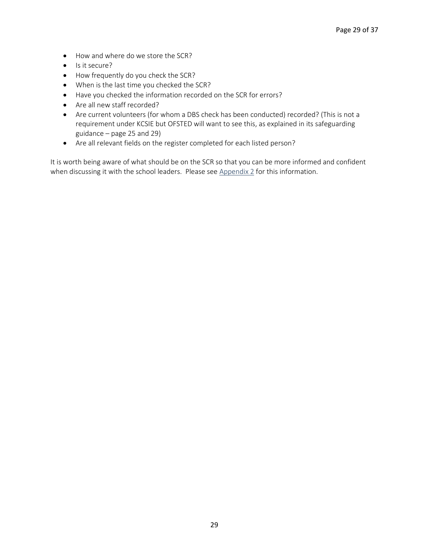- How and where do we store the SCR?
- Is it secure?
- How frequently do you check the SCR?
- When is the last time you checked the SCR?
- Have you checked the information recorded on the SCR for errors?
- Are all new staff recorded?
- Are current volunteers (for whom a DBS check has been conducted) recorded? (This is not a requirement under KCSIE but OFSTED will want to see this, as explained in its safeguarding guidance – page 25 and 29)
- Are all relevant fields on the register completed for each listed person?

It is worth being aware of what should be on the SCR so that you can be more informed and confident when discussing it with the school leaders. Please see Appendix 2 for this information.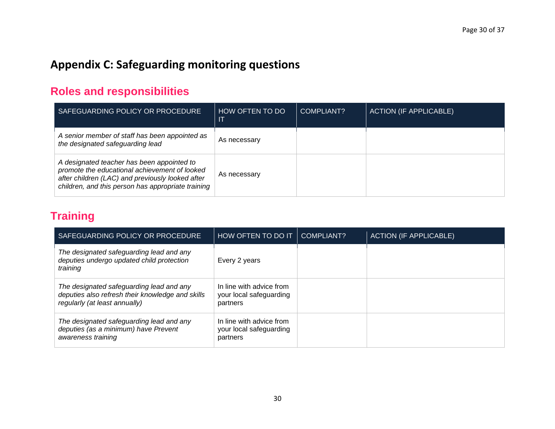## **Appendix C: Safeguarding monitoring questions**

### **Roles and responsibilities**

| SAFEGUARDING POLICY OR PROCEDURE                                                                                                                                                                      | HOW OFTEN TO DO | COMPLIANT? | <b>ACTION (IF APPLICABLE)</b> |
|-------------------------------------------------------------------------------------------------------------------------------------------------------------------------------------------------------|-----------------|------------|-------------------------------|
| A senior member of staff has been appointed as<br>the designated safeguarding lead                                                                                                                    | As necessary    |            |                               |
| A designated teacher has been appointed to<br>promote the educational achievement of looked<br>after children (LAC) and previously looked after<br>children, and this person has appropriate training | As necessary    |            |                               |

### **Training**

| SAFEGUARDING POLICY OR PROCEDURE                                                                                              | HOW OFTEN TO DO IT   COMPLIANT?                                 | <b>ACTION (IF APPLICABLE)</b> |
|-------------------------------------------------------------------------------------------------------------------------------|-----------------------------------------------------------------|-------------------------------|
| The designated safeguarding lead and any<br>deputies undergo updated child protection<br>training                             | Every 2 years                                                   |                               |
| The designated safeguarding lead and any<br>deputies also refresh their knowledge and skills<br>regularly (at least annually) | In line with advice from<br>your local safeguarding<br>partners |                               |
| The designated safeguarding lead and any<br>deputies (as a minimum) have Prevent<br>awareness training                        | In line with advice from<br>your local safeguarding<br>partners |                               |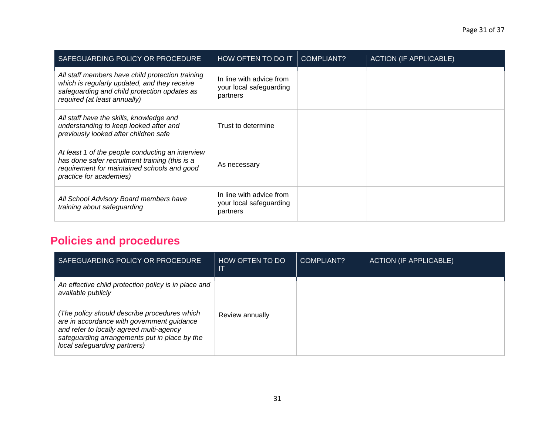| SAFEGUARDING POLICY OR PROCEDURE                                                                                                                                                 | HOW OFTEN TO DO IT                                              | COMPLIANT? | <b>ACTION (IF APPLICABLE)</b> |
|----------------------------------------------------------------------------------------------------------------------------------------------------------------------------------|-----------------------------------------------------------------|------------|-------------------------------|
| All staff members have child protection training<br>which is regularly updated, and they receive<br>safeguarding and child protection updates as<br>required (at least annually) | In line with advice from<br>your local safeguarding<br>partners |            |                               |
| All staff have the skills, knowledge and<br>understanding to keep looked after and<br>previously looked after children safe                                                      | Trust to determine                                              |            |                               |
| At least 1 of the people conducting an interview<br>has done safer recruitment training (this is a<br>requirement for maintained schools and good<br>practice for academies)     | As necessary                                                    |            |                               |
| All School Advisory Board members have<br>training about safeguarding                                                                                                            | In line with advice from<br>your local safeguarding<br>partners |            |                               |

### **Policies and procedures**

| SAFEGUARDING POLICY OR PROCEDURE                                                                                                                                                                                        | HOW OFTEN TO DO<br>IT | COMPLIANT? | <b>ACTION (IF APPLICABLE)</b> |
|-------------------------------------------------------------------------------------------------------------------------------------------------------------------------------------------------------------------------|-----------------------|------------|-------------------------------|
| An effective child protection policy is in place and<br>available publicly                                                                                                                                              |                       |            |                               |
| (The policy should describe procedures which<br>are in accordance with government quidance<br>and refer to locally agreed multi-agency<br>safeguarding arrangements put in place by the<br>local safeguarding partners) | Review annually       |            |                               |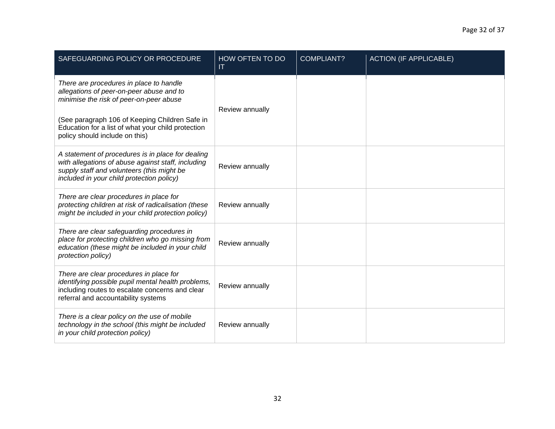| SAFEGUARDING POLICY OR PROCEDURE                                                                                                                                                                   | HOW OFTEN TO DO<br>IT | <b>COMPLIANT?</b> | <b>ACTION (IF APPLICABLE)</b> |
|----------------------------------------------------------------------------------------------------------------------------------------------------------------------------------------------------|-----------------------|-------------------|-------------------------------|
| There are procedures in place to handle<br>allegations of peer-on-peer abuse and to<br>minimise the risk of peer-on-peer abuse                                                                     | Review annually       |                   |                               |
| (See paragraph 106 of Keeping Children Safe in<br>Education for a list of what your child protection<br>policy should include on this)                                                             |                       |                   |                               |
| A statement of procedures is in place for dealing<br>with allegations of abuse against staff, including<br>supply staff and volunteers (this might be<br>included in your child protection policy) | Review annually       |                   |                               |
| There are clear procedures in place for<br>protecting children at risk of radicalisation (these<br>might be included in your child protection policy)                                              | Review annually       |                   |                               |
| There are clear safeguarding procedures in<br>place for protecting children who go missing from<br>education (these might be included in your child<br>protection policy)                          | Review annually       |                   |                               |
| There are clear procedures in place for<br>identifying possible pupil mental health problems,<br>including routes to escalate concerns and clear<br>referral and accountability systems            | Review annually       |                   |                               |
| There is a clear policy on the use of mobile<br>technology in the school (this might be included<br>in your child protection policy)                                                               | Review annually       |                   |                               |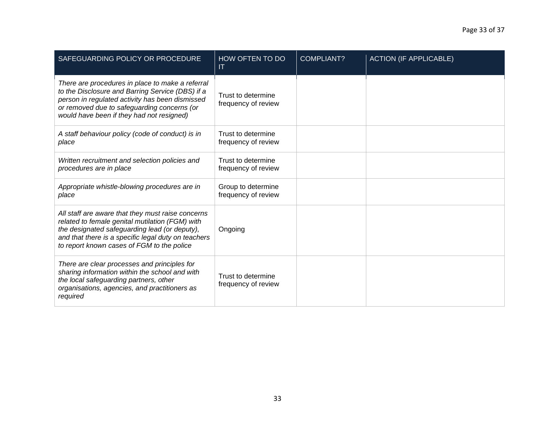| SAFEGUARDING POLICY OR PROCEDURE                                                                                                                                                                                                                           | HOW OFTEN TO DO<br>IT                     | <b>COMPLIANT?</b> | <b>ACTION (IF APPLICABLE)</b> |
|------------------------------------------------------------------------------------------------------------------------------------------------------------------------------------------------------------------------------------------------------------|-------------------------------------------|-------------------|-------------------------------|
| There are procedures in place to make a referral<br>to the Disclosure and Barring Service (DBS) if a<br>person in regulated activity has been dismissed<br>or removed due to safeguarding concerns (or<br>would have been if they had not resigned)        | Trust to determine<br>frequency of review |                   |                               |
| A staff behaviour policy (code of conduct) is in<br>place                                                                                                                                                                                                  | Trust to determine<br>frequency of review |                   |                               |
| Written recruitment and selection policies and<br>procedures are in place                                                                                                                                                                                  | Trust to determine<br>frequency of review |                   |                               |
| Appropriate whistle-blowing procedures are in<br>place                                                                                                                                                                                                     | Group to determine<br>frequency of review |                   |                               |
| All staff are aware that they must raise concerns<br>related to female genital mutilation (FGM) with<br>the designated safeguarding lead (or deputy),<br>and that there is a specific legal duty on teachers<br>to report known cases of FGM to the police | Ongoing                                   |                   |                               |
| There are clear processes and principles for<br>sharing information within the school and with<br>the local safeguarding partners, other<br>organisations, agencies, and practitioners as<br>required                                                      | Trust to determine<br>frequency of review |                   |                               |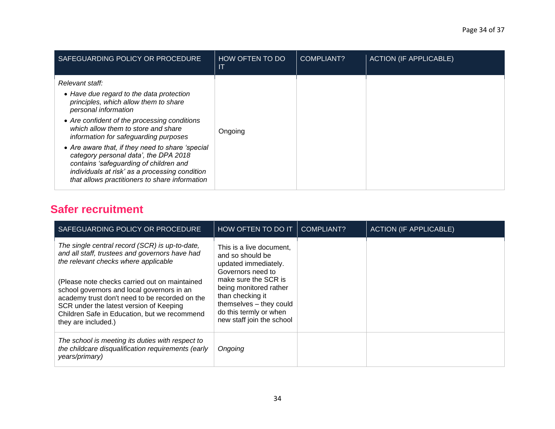| SAFEGUARDING POLICY OR PROCEDURE                                                                                                                                                                                                                                                                                                                                                                                                                                                                        | HOW OFTEN TO DO<br>Л | COMPLIANT? | <b>ACTION (IF APPLICABLE)</b> |
|---------------------------------------------------------------------------------------------------------------------------------------------------------------------------------------------------------------------------------------------------------------------------------------------------------------------------------------------------------------------------------------------------------------------------------------------------------------------------------------------------------|----------------------|------------|-------------------------------|
| Relevant staff:<br>• Have due regard to the data protection<br>principles, which allow them to share<br>personal information<br>• Are confident of the processing conditions<br>which allow them to store and share<br>information for safeguarding purposes<br>• Are aware that, if they need to share 'special<br>category personal data', the DPA 2018<br>contains 'safeguarding of children and<br>individuals at risk' as a processing condition<br>that allows practitioners to share information | Ongoing              |            |                               |

### **Safer recruitment**

| SAFEGUARDING POLICY OR PROCEDURE                                                                                                                                                                                                                                                                                                                                                                            | HOW OFTEN TO DO IT                                                                                                                                                                                                                                | COMPLIANT? | <b>ACTION (IF APPLICABLE)</b> |
|-------------------------------------------------------------------------------------------------------------------------------------------------------------------------------------------------------------------------------------------------------------------------------------------------------------------------------------------------------------------------------------------------------------|---------------------------------------------------------------------------------------------------------------------------------------------------------------------------------------------------------------------------------------------------|------------|-------------------------------|
| The single central record (SCR) is up-to-date,<br>and all staff, trustees and governors have had<br>the relevant checks where applicable<br>(Please note checks carried out on maintained<br>school governors and local governors in an<br>academy trust don't need to be recorded on the<br>SCR under the latest version of Keeping<br>Children Safe in Education, but we recommend<br>they are included.) | This is a live document,<br>and so should be<br>updated immediately.<br>Governors need to<br>make sure the SCR is<br>being monitored rather<br>than checking it<br>themselves - they could<br>do this termly or when<br>new staff join the school |            |                               |
| The school is meeting its duties with respect to<br>the childcare disqualification requirements (early<br>years/primary)                                                                                                                                                                                                                                                                                    | Ongoing                                                                                                                                                                                                                                           |            |                               |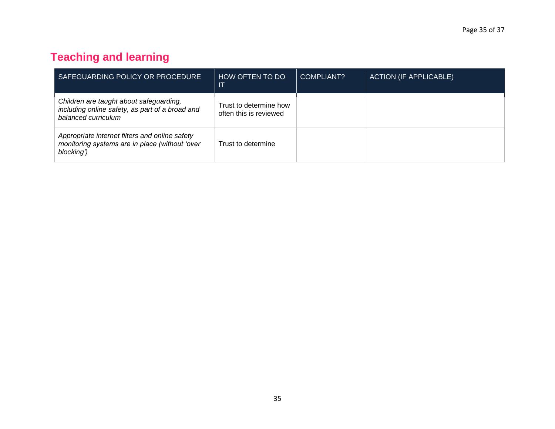### **Teaching and learning**

| SAFEGUARDING POLICY OR PROCEDURE                                                                                  | HOW OFTEN TO DO<br>-IT                           | COMPLIANT? | <b>ACTION (IF APPLICABLE)</b> |
|-------------------------------------------------------------------------------------------------------------------|--------------------------------------------------|------------|-------------------------------|
| Children are taught about safeguarding,<br>including online safety, as part of a broad and<br>balanced curriculum | Trust to determine how<br>often this is reviewed |            |                               |
| Appropriate internet filters and online safety<br>monitoring systems are in place (without 'over<br>blocking')    | Trust to determine                               |            |                               |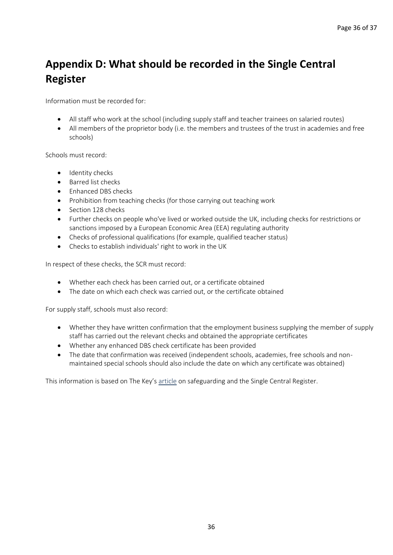### **Appendix D: What should be recorded in the Single Central Register**

Information must be recorded for:

- All staff who work at the school (including supply staff and teacher trainees on salaried routes)
- All members of the proprietor body (i.e. the members and trustees of the trust in academies and free schools)

Schools must record:

- Identity checks
- Barred list checks
- Enhanced DBS checks
- Prohibition from teaching checks (for those carrying out teaching work
- Section 128 checks
- Further checks on people who've lived or worked outside the UK, including checks for restrictions or sanctions imposed by a European Economic Area (EEA) regulating authority
- Checks of professional qualifications (for example, qualified teacher status)
- Checks to establish individuals' right to work in the UK

In respect of these checks, the SCR must record:

- Whether each check has been carried out, or a certificate obtained
- The date on which each check was carried out, or the certificate obtained

For supply staff, schools must also record:

- Whether they have written confirmation that the employment business supplying the member of supply staff has carried out the relevant checks and obtained the appropriate certificates
- Whether any enhanced DBS check certificate has been provided
- The date that confirmation was received (independent schools, academies, free schools and nonmaintained special schools should also include the date on which any certificate was obtained)

This information is based on The Key's [article](https://schoolgovernors.thekeysupport.com/curriculum-and-pupils/pastoral-care/safeguarding/governors-role-in-monitoring-the-scr/) on safeguarding and the Single Central Register.